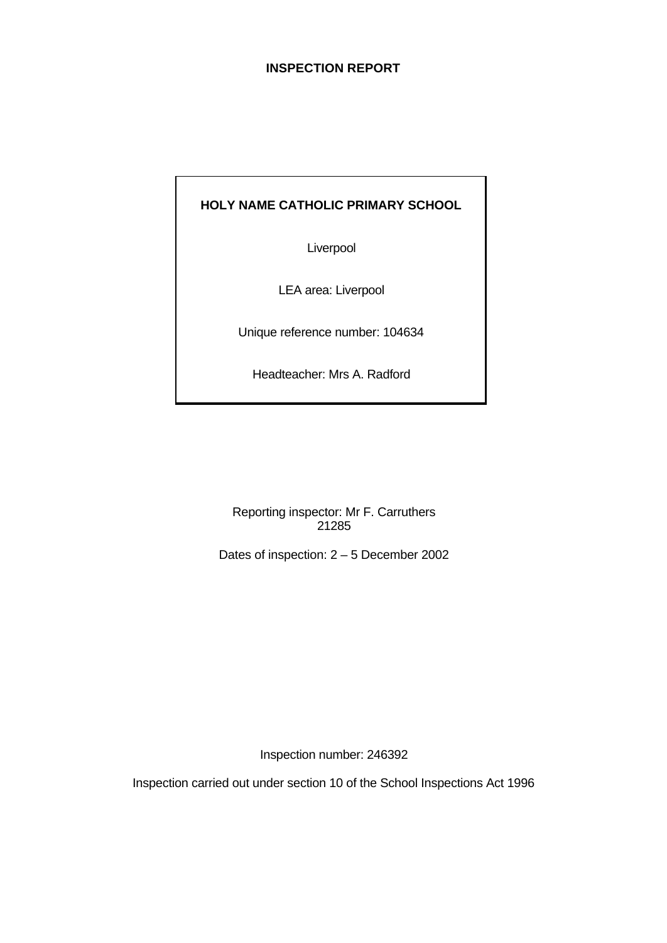# **INSPECTION REPORT**

# **HOLY NAME CATHOLIC PRIMARY SCHOOL**

Liverpool

LEA area: Liverpool

Unique reference number: 104634

Headteacher: Mrs A. Radford

Reporting inspector: Mr F. Carruthers 21285

Dates of inspection: 2 – 5 December 2002

Inspection number: 246392

Inspection carried out under section 10 of the School Inspections Act 1996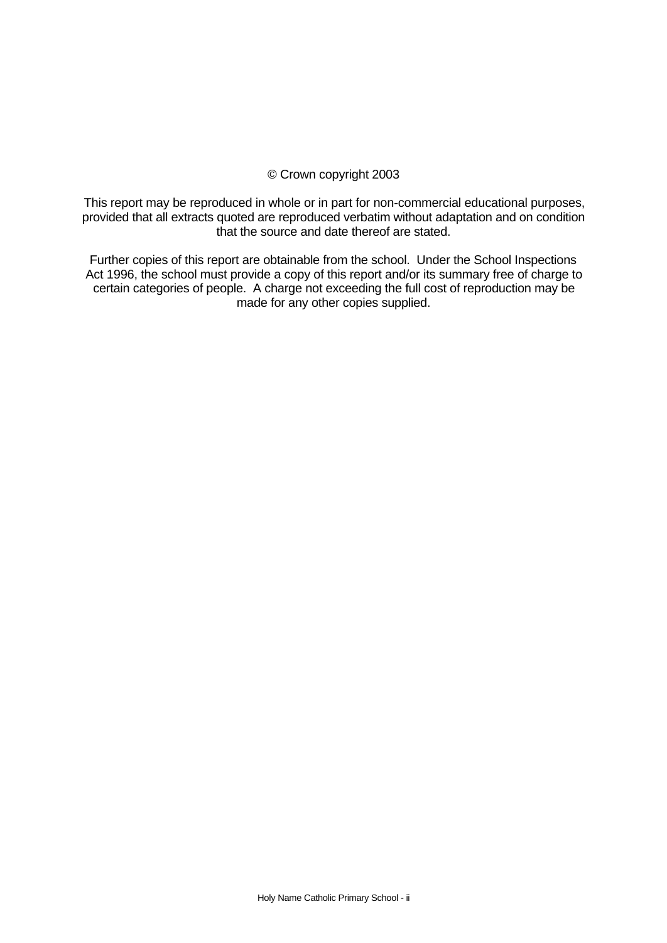# © Crown copyright 2003

This report may be reproduced in whole or in part for non-commercial educational purposes, provided that all extracts quoted are reproduced verbatim without adaptation and on condition that the source and date thereof are stated.

Further copies of this report are obtainable from the school. Under the School Inspections Act 1996, the school must provide a copy of this report and/or its summary free of charge to certain categories of people. A charge not exceeding the full cost of reproduction may be made for any other copies supplied.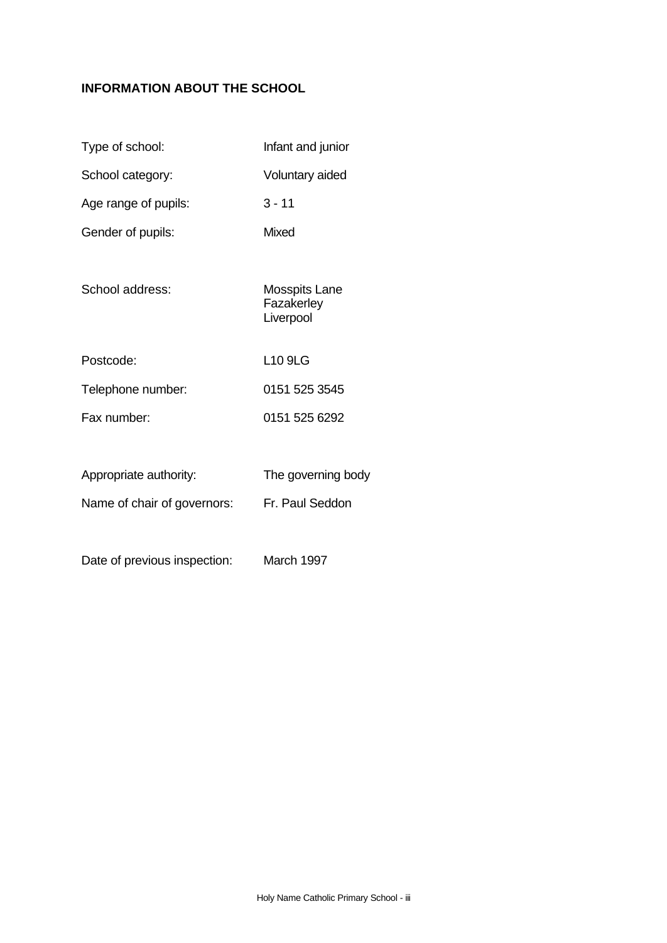# **INFORMATION ABOUT THE SCHOOL**

| Type of school:                             | Infant and junior                               |
|---------------------------------------------|-------------------------------------------------|
| School category:                            | Voluntary aided                                 |
| Age range of pupils:                        | $3 - 11$                                        |
| Gender of pupils:                           | Mixed                                           |
| School address:                             | <b>Mosspits Lane</b><br>Fazakerley<br>Liverpool |
| Postcode:                                   | L <sub>10</sub> 9LG                             |
| Telephone number:                           | 0151 525 3545                                   |
| Fax number:                                 | 0151 525 6292                                   |
|                                             |                                                 |
| Appropriate authority:                      | The governing body                              |
| Name of chair of governors: Fr. Paul Seddon |                                                 |
|                                             |                                                 |

Date of previous inspection: March 1997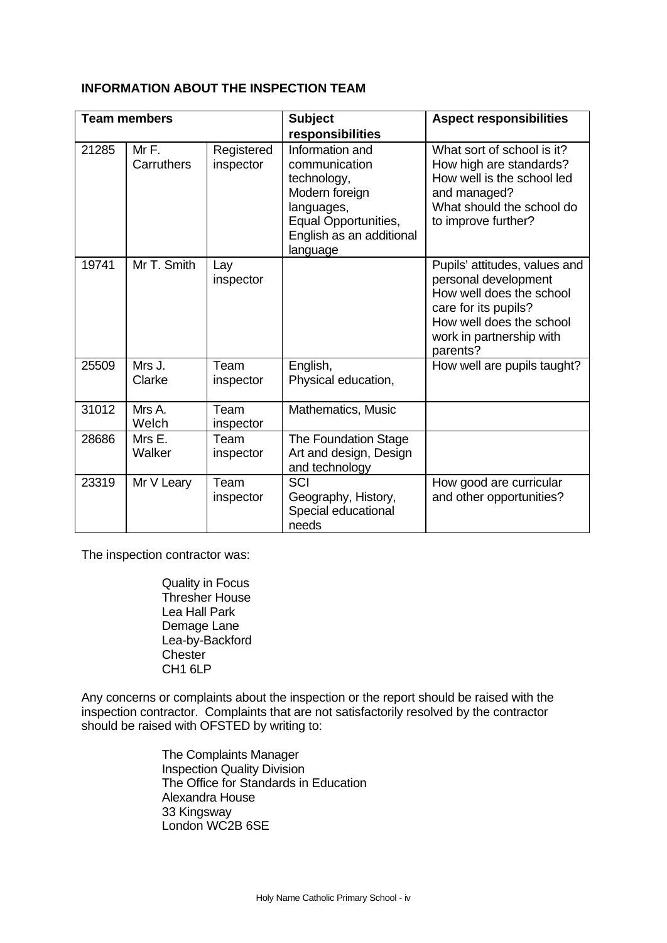# **INFORMATION ABOUT THE INSPECTION TEAM**

|       | <b>Team members</b> |                                                                                                                                                                            | <b>Subject</b><br>responsibilities                                      | <b>Aspect responsibilities</b>                                                                                                                                                |
|-------|---------------------|----------------------------------------------------------------------------------------------------------------------------------------------------------------------------|-------------------------------------------------------------------------|-------------------------------------------------------------------------------------------------------------------------------------------------------------------------------|
| 21285 | MrF.<br>Carruthers  | Information and<br>Registered<br>inspector<br>communication<br>technology,<br>Modern foreign<br>languages,<br>Equal Opportunities,<br>English as an additional<br>language |                                                                         | What sort of school is it?<br>How high are standards?<br>How well is the school led<br>and managed?<br>What should the school do<br>to improve further?                       |
| 19741 | Mr T. Smith         | Lay<br>inspector                                                                                                                                                           |                                                                         | Pupils' attitudes, values and<br>personal development<br>How well does the school<br>care for its pupils?<br>How well does the school<br>work in partnership with<br>parents? |
| 25509 | Mrs J.<br>Clarke    | Team<br>inspector                                                                                                                                                          | English,<br>Physical education,                                         | How well are pupils taught?                                                                                                                                                   |
| 31012 | Mrs A.<br>Welch     | Team<br>inspector                                                                                                                                                          | Mathematics, Music                                                      |                                                                                                                                                                               |
| 28686 | Mrs E.<br>Walker    | Team<br>inspector                                                                                                                                                          | <b>The Foundation Stage</b><br>Art and design, Design<br>and technology |                                                                                                                                                                               |
| 23319 | Mr V Leary          | Team<br>inspector                                                                                                                                                          | SCI<br>Geography, History,<br>Special educational<br>needs              | How good are curricular<br>and other opportunities?                                                                                                                           |

The inspection contractor was:

Quality in Focus Thresher House Lea Hall Park Demage Lane Lea-by-Backford **Chester** CH1 6LP

Any concerns or complaints about the inspection or the report should be raised with the inspection contractor. Complaints that are not satisfactorily resolved by the contractor should be raised with OFSTED by writing to:

> The Complaints Manager Inspection Quality Division The Office for Standards in Education Alexandra House 33 Kingsway London WC2B 6SE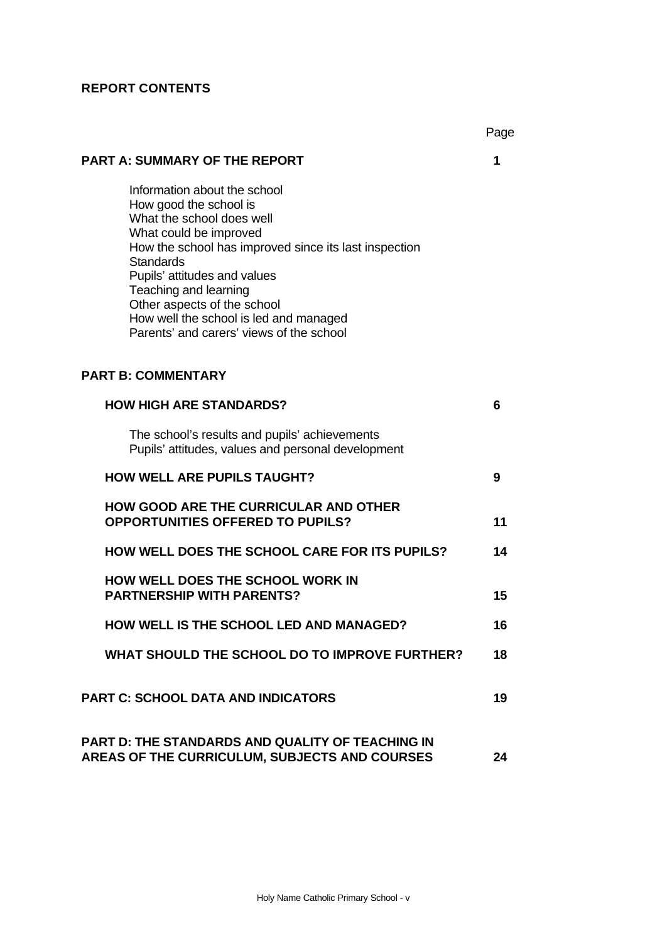# **REPORT CONTENTS**

|                                                                                                                                                                                                                                                                                                                                                                          | Page |
|--------------------------------------------------------------------------------------------------------------------------------------------------------------------------------------------------------------------------------------------------------------------------------------------------------------------------------------------------------------------------|------|
| <b>PART A: SUMMARY OF THE REPORT</b>                                                                                                                                                                                                                                                                                                                                     | 1    |
| Information about the school<br>How good the school is<br>What the school does well<br>What could be improved<br>How the school has improved since its last inspection<br><b>Standards</b><br>Pupils' attitudes and values<br>Teaching and learning<br>Other aspects of the school<br>How well the school is led and managed<br>Parents' and carers' views of the school |      |
| <b>PART B: COMMENTARY</b>                                                                                                                                                                                                                                                                                                                                                |      |
| <b>HOW HIGH ARE STANDARDS?</b>                                                                                                                                                                                                                                                                                                                                           | 6    |
| The school's results and pupils' achievements<br>Pupils' attitudes, values and personal development                                                                                                                                                                                                                                                                      |      |
| <b>HOW WELL ARE PUPILS TAUGHT?</b>                                                                                                                                                                                                                                                                                                                                       | 9    |
| <b>HOW GOOD ARE THE CURRICULAR AND OTHER</b><br><b>OPPORTUNITIES OFFERED TO PUPILS?</b>                                                                                                                                                                                                                                                                                  | 11   |
| <b>HOW WELL DOES THE SCHOOL CARE FOR ITS PUPILS?</b>                                                                                                                                                                                                                                                                                                                     | 14   |
| HOW WELL DOES THE SCHOOL WORK IN<br><b>PARTNERSHIP WITH PARENTS?</b>                                                                                                                                                                                                                                                                                                     | 15   |
| HOW WELL IS THE SCHOOL LED AND MANAGED?                                                                                                                                                                                                                                                                                                                                  | 16   |
| WHAT SHOULD THE SCHOOL DO TO IMPROVE FURTHER?                                                                                                                                                                                                                                                                                                                            | 18   |
| <b>PART C: SCHOOL DATA AND INDICATORS</b>                                                                                                                                                                                                                                                                                                                                | 19   |
| <b>PART D: THE STANDARDS AND QUALITY OF TEACHING IN</b><br>AREAS OF THE CURRICULUM, SUBJECTS AND COURSES                                                                                                                                                                                                                                                                 | 24   |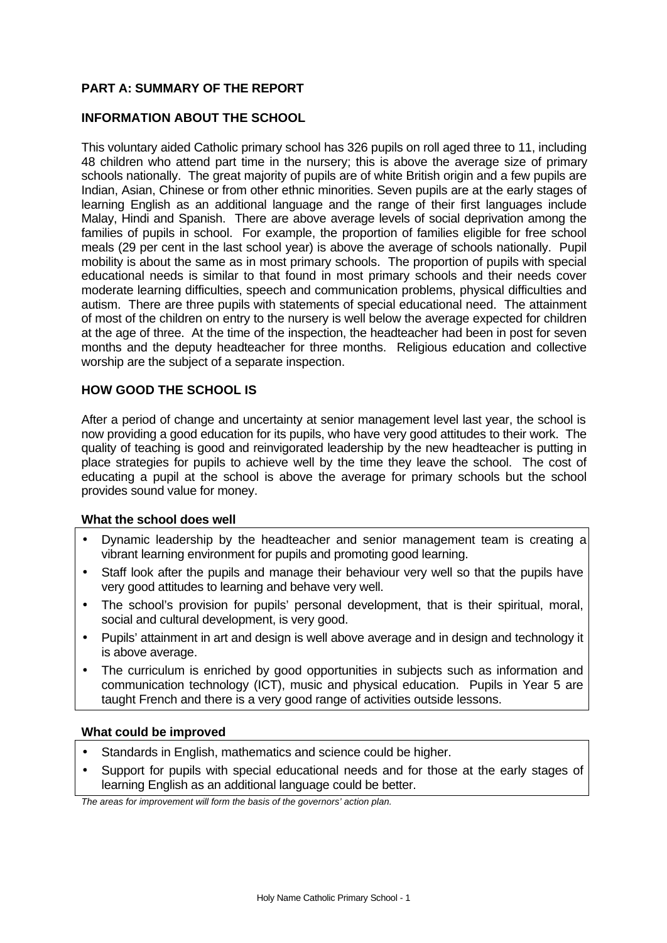# **PART A: SUMMARY OF THE REPORT**

# **INFORMATION ABOUT THE SCHOOL**

This voluntary aided Catholic primary school has 326 pupils on roll aged three to 11, including 48 children who attend part time in the nursery; this is above the average size of primary schools nationally. The great majority of pupils are of white British origin and a few pupils are Indian, Asian, Chinese or from other ethnic minorities. Seven pupils are at the early stages of learning English as an additional language and the range of their first languages include Malay, Hindi and Spanish. There are above average levels of social deprivation among the families of pupils in school. For example, the proportion of families eligible for free school meals (29 per cent in the last school year) is above the average of schools nationally. Pupil mobility is about the same as in most primary schools. The proportion of pupils with special educational needs is similar to that found in most primary schools and their needs cover moderate learning difficulties, speech and communication problems, physical difficulties and autism. There are three pupils with statements of special educational need. The attainment of most of the children on entry to the nursery is well below the average expected for children at the age of three. At the time of the inspection, the headteacher had been in post for seven months and the deputy headteacher for three months. Religious education and collective worship are the subject of a separate inspection.

#### **HOW GOOD THE SCHOOL IS**

After a period of change and uncertainty at senior management level last year, the school is now providing a good education for its pupils, who have very good attitudes to their work. The quality of teaching is good and reinvigorated leadership by the new headteacher is putting in place strategies for pupils to achieve well by the time they leave the school. The cost of educating a pupil at the school is above the average for primary schools but the school provides sound value for money.

#### **What the school does well**

- Dynamic leadership by the headteacher and senior management team is creating a vibrant learning environment for pupils and promoting good learning.
- Staff look after the pupils and manage their behaviour very well so that the pupils have very good attitudes to learning and behave very well.
- The school's provision for pupils' personal development, that is their spiritual, moral, social and cultural development, is very good.
- Pupils' attainment in art and design is well above average and in design and technology it is above average.
- The curriculum is enriched by good opportunities in subjects such as information and communication technology (ICT), music and physical education. Pupils in Year 5 are taught French and there is a very good range of activities outside lessons.

#### **What could be improved**

- Standards in English, mathematics and science could be higher.
- Support for pupils with special educational needs and for those at the early stages of learning English as an additional language could be better.

*The areas for improvement will form the basis of the governors' action plan.*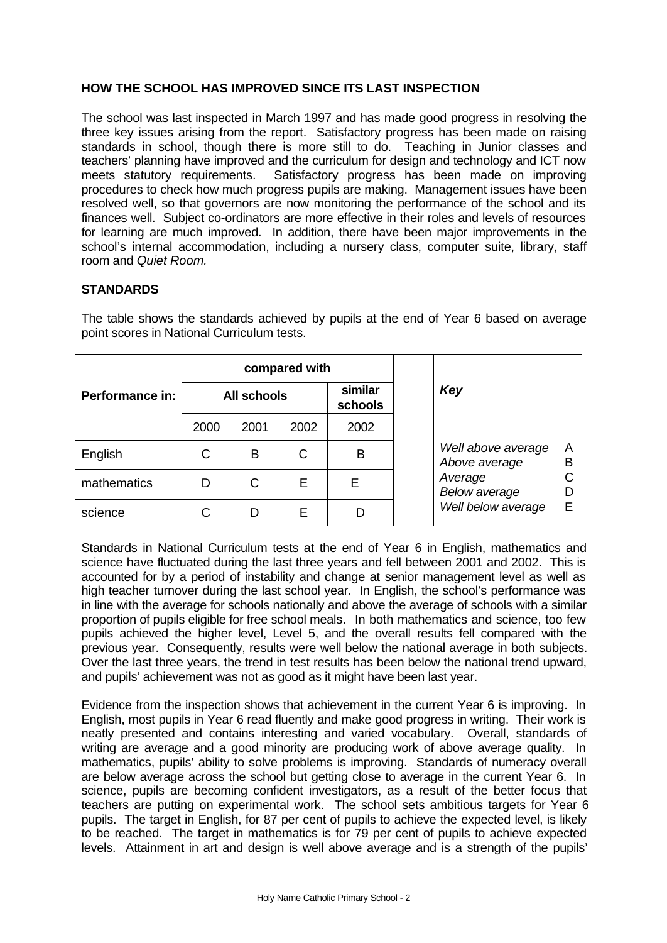# **HOW THE SCHOOL HAS IMPROVED SINCE ITS LAST INSPECTION**

The school was last inspected in March 1997 and has made good progress in resolving the three key issues arising from the report. Satisfactory progress has been made on raising standards in school, though there is more still to do. Teaching in Junior classes and teachers' planning have improved and the curriculum for design and technology and ICT now meets statutory requirements. Satisfactory progress has been made on improving procedures to check how much progress pupils are making. Management issues have been resolved well, so that governors are now monitoring the performance of the school and its finances well. Subject co-ordinators are more effective in their roles and levels of resources for learning are much improved. In addition, there have been major improvements in the school's internal accommodation, including a nursery class, computer suite, library, staff room and *Quiet Room.*

# **STANDARDS**

|                 |      |                    | compared with |                    |                                     |        |  |
|-----------------|------|--------------------|---------------|--------------------|-------------------------------------|--------|--|
| Performance in: |      | <b>All schools</b> |               | similar<br>schools | Key                                 |        |  |
|                 | 2000 | 2001               | 2002          | 2002               |                                     |        |  |
| English         | C    | B                  | С             | В                  | Well above average<br>Above average | A<br>B |  |
| mathematics     | D    | C                  | E             |                    | Average<br><b>Below average</b>     |        |  |
| science         |      | D                  | E             |                    | Well below average                  | E      |  |

The table shows the standards achieved by pupils at the end of Year 6 based on average point scores in National Curriculum tests.

Standards in National Curriculum tests at the end of Year 6 in English, mathematics and science have fluctuated during the last three years and fell between 2001 and 2002. This is accounted for by a period of instability and change at senior management level as well as high teacher turnover during the last school year. In English, the school's performance was in line with the average for schools nationally and above the average of schools with a similar proportion of pupils eligible for free school meals*.* In both mathematics and science, too few pupils achieved the higher level, Level 5, and the overall results fell compared with the previous year. Consequently, results were well below the national average in both subjects. Over the last three years, the trend in test results has been below the national trend upward, and pupils' achievement was not as good as it might have been last year.

Evidence from the inspection shows that achievement in the current Year 6 is improving. In English, most pupils in Year 6 read fluently and make good progress in writing. Their work is neatly presented and contains interesting and varied vocabulary. Overall, standards of writing are average and a good minority are producing work of above average quality. In mathematics, pupils' ability to solve problems is improving. Standards of numeracy overall are below average across the school but getting close to average in the current Year 6. In science, pupils are becoming confident investigators, as a result of the better focus that teachers are putting on experimental work. The school sets ambitious targets for Year 6 pupils. The target in English, for 87 per cent of pupils to achieve the expected level, is likely to be reached. The target in mathematics is for 79 per cent of pupils to achieve expected levels. Attainment in art and design is well above average and is a strength of the pupils'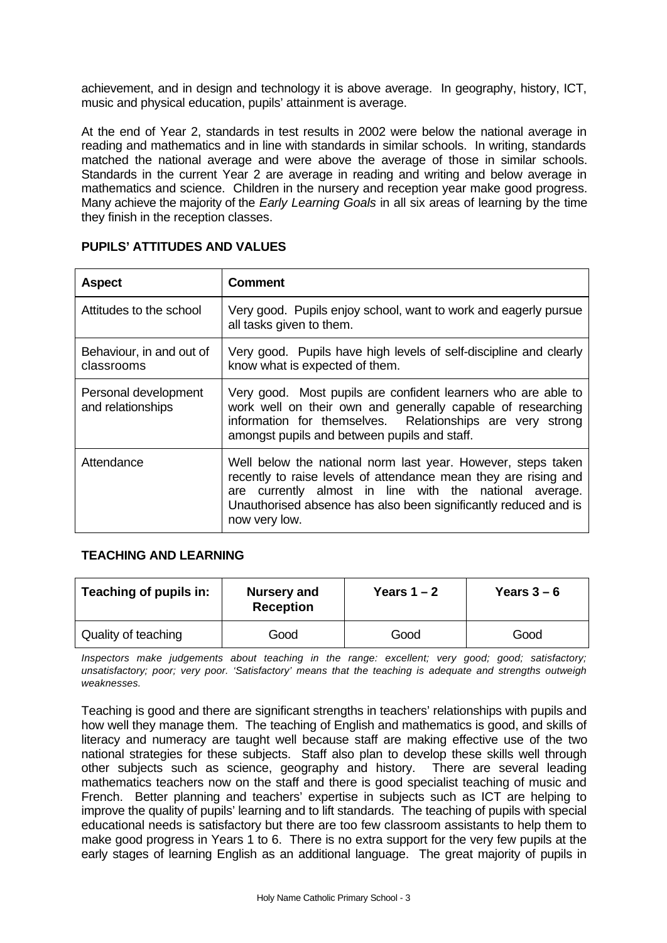achievement, and in design and technology it is above average. In geography, history, ICT, music and physical education, pupils' attainment is average.

At the end of Year 2, standards in test results in 2002 were below the national average in reading and mathematics and in line with standards in similar schools. In writing, standards matched the national average and were above the average of those in similar schools. Standards in the current Year 2 are average in reading and writing and below average in mathematics and science. Children in the nursery and reception year make good progress. Many achieve the majority of the *Early Learning Goals* in all six areas of learning by the time they finish in the reception classes.

| <b>Aspect</b>                             | Comment                                                                                                                                                                                                                                                                           |
|-------------------------------------------|-----------------------------------------------------------------------------------------------------------------------------------------------------------------------------------------------------------------------------------------------------------------------------------|
| Attitudes to the school                   | Very good. Pupils enjoy school, want to work and eagerly pursue<br>all tasks given to them.                                                                                                                                                                                       |
| Behaviour, in and out of<br>classrooms    | Very good. Pupils have high levels of self-discipline and clearly<br>know what is expected of them.                                                                                                                                                                               |
| Personal development<br>and relationships | Very good. Most pupils are confident learners who are able to<br>work well on their own and generally capable of researching<br>information for themselves. Relationships are very strong<br>amongst pupils and between pupils and staff.                                         |
| Attendance                                | Well below the national norm last year. However, steps taken<br>recently to raise levels of attendance mean they are rising and<br>currently almost in line with the national average.<br>are<br>Unauthorised absence has also been significantly reduced and is<br>now very low. |

# **PUPILS' ATTITUDES AND VALUES**

# **TEACHING AND LEARNING**

| Teaching of pupils in:<br><b>Nursery and</b><br><b>Reception</b> |      | Years $1 - 2$ | Years $3-6$ |  |
|------------------------------------------------------------------|------|---------------|-------------|--|
| Quality of teaching                                              | Good | Good          | Good        |  |

*Inspectors make judgements about teaching in the range: excellent; very good; good; satisfactory; unsatisfactory; poor; very poor. 'Satisfactory' means that the teaching is adequate and strengths outweigh weaknesses.*

Teaching is good and there are significant strengths in teachers' relationships with pupils and how well they manage them. The teaching of English and mathematics is good, and skills of literacy and numeracy are taught well because staff are making effective use of the two national strategies for these subjects. Staff also plan to develop these skills well through other subjects such as science, geography and history. There are several leading mathematics teachers now on the staff and there is good specialist teaching of music and French. Better planning and teachers' expertise in subjects such as ICT are helping to improve the quality of pupils' learning and to lift standards. The teaching of pupils with special educational needs is satisfactory but there are too few classroom assistants to help them to make good progress in Years 1 to 6. There is no extra support for the very few pupils at the early stages of learning English as an additional language. The great majority of pupils in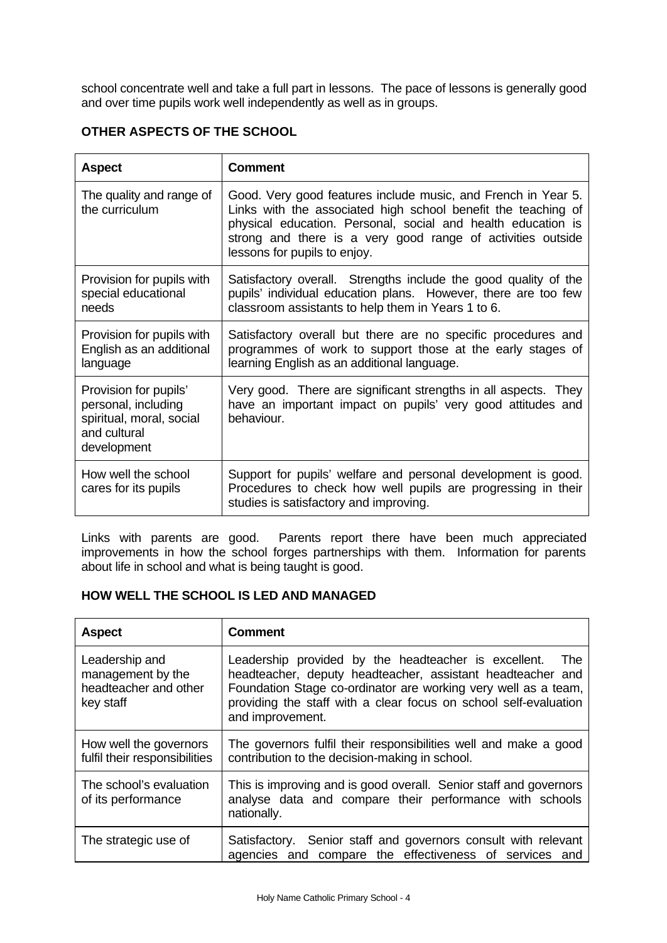school concentrate well and take a full part in lessons. The pace of lessons is generally good and over time pupils work well independently as well as in groups.

# **OTHER ASPECTS OF THE SCHOOL**

| <b>Aspect</b>                                                                                           | <b>Comment</b>                                                                                                                                                                                                                                                                                |
|---------------------------------------------------------------------------------------------------------|-----------------------------------------------------------------------------------------------------------------------------------------------------------------------------------------------------------------------------------------------------------------------------------------------|
| The quality and range of<br>the curriculum                                                              | Good. Very good features include music, and French in Year 5.<br>Links with the associated high school benefit the teaching of<br>physical education. Personal, social and health education is<br>strong and there is a very good range of activities outside<br>lessons for pupils to enjoy. |
| Provision for pupils with<br>special educational<br>needs                                               | Satisfactory overall. Strengths include the good quality of the<br>pupils' individual education plans. However, there are too few<br>classroom assistants to help them in Years 1 to 6.                                                                                                       |
| Provision for pupils with<br>English as an additional<br>language                                       | Satisfactory overall but there are no specific procedures and<br>programmes of work to support those at the early stages of<br>learning English as an additional language.                                                                                                                    |
| Provision for pupils'<br>personal, including<br>spiritual, moral, social<br>and cultural<br>development | Very good. There are significant strengths in all aspects. They<br>have an important impact on pupils' very good attitudes and<br>behaviour.                                                                                                                                                  |
| How well the school<br>cares for its pupils                                                             | Support for pupils' welfare and personal development is good.<br>Procedures to check how well pupils are progressing in their<br>studies is satisfactory and improving.                                                                                                                       |

Links with parents are good. Parents report there have been much appreciated improvements in how the school forges partnerships with them. Information for parents about life in school and what is being taught is good.

# **HOW WELL THE SCHOOL IS LED AND MANAGED**

| <b>Aspect</b>                                                             | <b>Comment</b>                                                                                                                                                                                                                                                                      |
|---------------------------------------------------------------------------|-------------------------------------------------------------------------------------------------------------------------------------------------------------------------------------------------------------------------------------------------------------------------------------|
| Leadership and<br>management by the<br>headteacher and other<br>key staff | Leadership provided by the headteacher is excellent.<br>The<br>headteacher, deputy headteacher, assistant headteacher and<br>Foundation Stage co-ordinator are working very well as a team,<br>providing the staff with a clear focus on school self-evaluation<br>and improvement. |
| How well the governors<br>fulfil their responsibilities                   | The governors fulfil their responsibilities well and make a good<br>contribution to the decision-making in school.                                                                                                                                                                  |
| The school's evaluation<br>of its performance                             | This is improving and is good overall. Senior staff and governors<br>analyse data and compare their performance with schools<br>nationally.                                                                                                                                         |
| The strategic use of                                                      | Satisfactory. Senior staff and governors consult with relevant<br>agencies and compare the effectiveness of services and                                                                                                                                                            |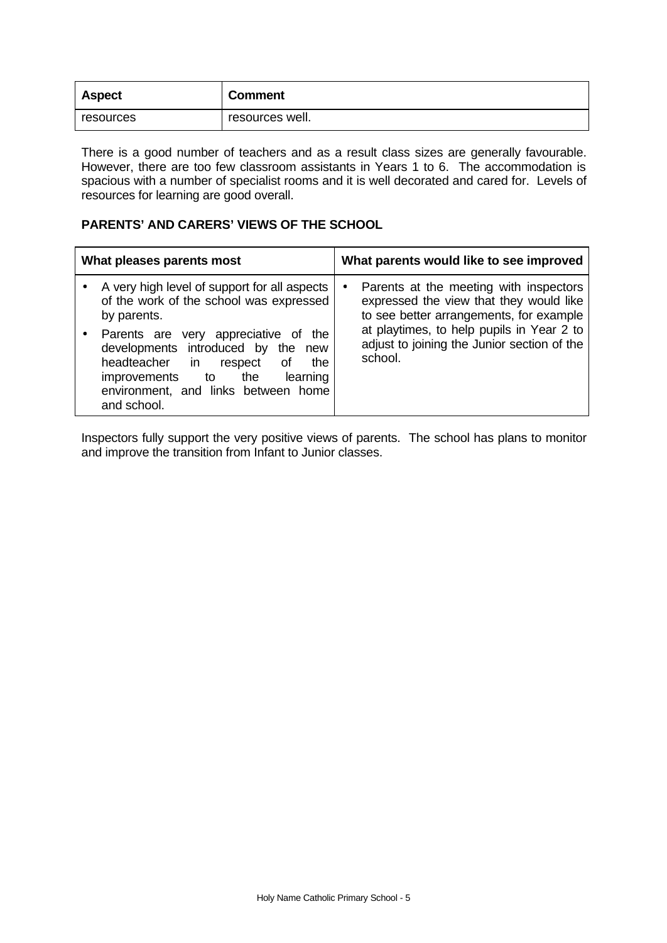| <b>Aspect</b> | <b>Comment</b>  |
|---------------|-----------------|
| resources     | resources well. |

There is a good number of teachers and as a result class sizes are generally favourable. However, there are too few classroom assistants in Years 1 to 6. The accommodation is spacious with a number of specialist rooms and it is well decorated and cared for. Levels of resources for learning are good overall.

# **PARENTS' AND CARERS' VIEWS OF THE SCHOOL**

| What pleases parents most                                                                                                                                                                                                             |           | What parents would like to see improved                                                                                      |
|---------------------------------------------------------------------------------------------------------------------------------------------------------------------------------------------------------------------------------------|-----------|------------------------------------------------------------------------------------------------------------------------------|
| A very high level of support for all aspects<br>of the work of the school was expressed<br>by parents.                                                                                                                                | $\bullet$ | Parents at the meeting with inspectors<br>expressed the view that they would like<br>to see better arrangements, for example |
| Parents are very appreciative of<br>the<br>developments introduced by the<br>new<br>headteacher<br>Οf<br>the<br>in l<br>respect<br>learning<br><i>improvements</i><br>the<br>to<br>environment, and links between home<br>and school. |           | at playtimes, to help pupils in Year 2 to<br>adjust to joining the Junior section of the<br>school.                          |

Inspectors fully support the very positive views of parents. The school has plans to monitor and improve the transition from Infant to Junior classes.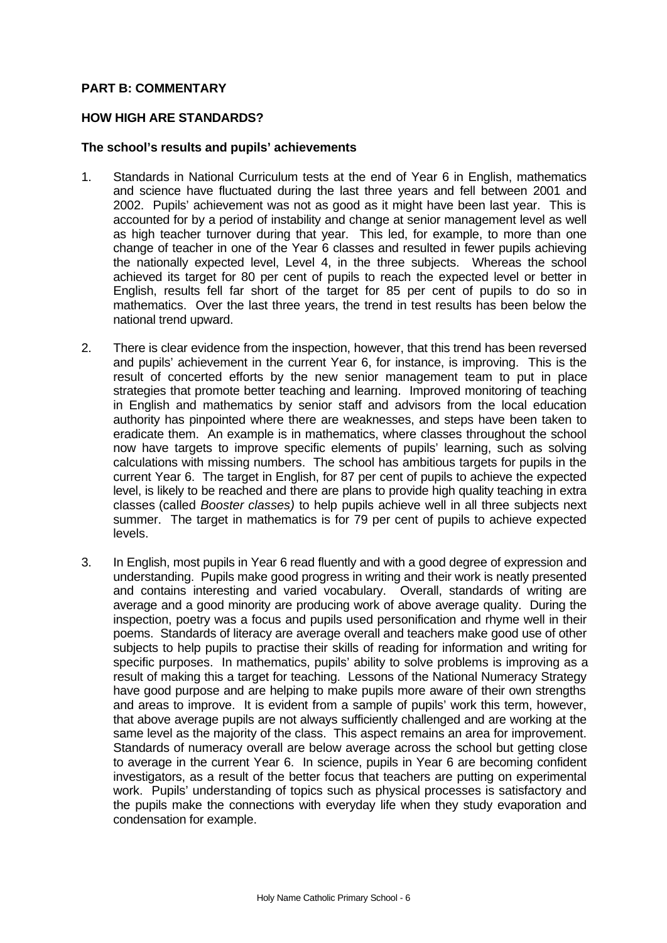# **PART B: COMMENTARY**

## **HOW HIGH ARE STANDARDS?**

#### **The school's results and pupils' achievements**

- 1. Standards in National Curriculum tests at the end of Year 6 in English, mathematics and science have fluctuated during the last three years and fell between 2001 and 2002. Pupils' achievement was not as good as it might have been last year. This is accounted for by a period of instability and change at senior management level as well as high teacher turnover during that year. This led, for example, to more than one change of teacher in one of the Year 6 classes and resulted in fewer pupils achieving the nationally expected level, Level 4, in the three subjects. Whereas the school achieved its target for 80 per cent of pupils to reach the expected level or better in English, results fell far short of the target for 85 per cent of pupils to do so in mathematics. Over the last three years, the trend in test results has been below the national trend upward.
- 2. There is clear evidence from the inspection, however, that this trend has been reversed and pupils' achievement in the current Year 6, for instance, is improving. This is the result of concerted efforts by the new senior management team to put in place strategies that promote better teaching and learning. Improved monitoring of teaching in English and mathematics by senior staff and advisors from the local education authority has pinpointed where there are weaknesses, and steps have been taken to eradicate them. An example is in mathematics, where classes throughout the school now have targets to improve specific elements of pupils' learning, such as solving calculations with missing numbers. The school has ambitious targets for pupils in the current Year 6. The target in English, for 87 per cent of pupils to achieve the expected level, is likely to be reached and there are plans to provide high quality teaching in extra classes (called *Booster classes)* to help pupils achieve well in all three subjects next summer. The target in mathematics is for 79 per cent of pupils to achieve expected levels.
- 3. In English, most pupils in Year 6 read fluently and with a good degree of expression and understanding. Pupils make good progress in writing and their work is neatly presented and contains interesting and varied vocabulary. Overall, standards of writing are average and a good minority are producing work of above average quality. During the inspection, poetry was a focus and pupils used personification and rhyme well in their poems. Standards of literacy are average overall and teachers make good use of other subjects to help pupils to practise their skills of reading for information and writing for specific purposes. In mathematics, pupils' ability to solve problems is improving as a result of making this a target for teaching. Lessons of the National Numeracy Strategy have good purpose and are helping to make pupils more aware of their own strengths and areas to improve. It is evident from a sample of pupils' work this term, however, that above average pupils are not always sufficiently challenged and are working at the same level as the majority of the class. This aspect remains an area for improvement. Standards of numeracy overall are below average across the school but getting close to average in the current Year 6. In science, pupils in Year 6 are becoming confident investigators, as a result of the better focus that teachers are putting on experimental work. Pupils' understanding of topics such as physical processes is satisfactory and the pupils make the connections with everyday life when they study evaporation and condensation for example.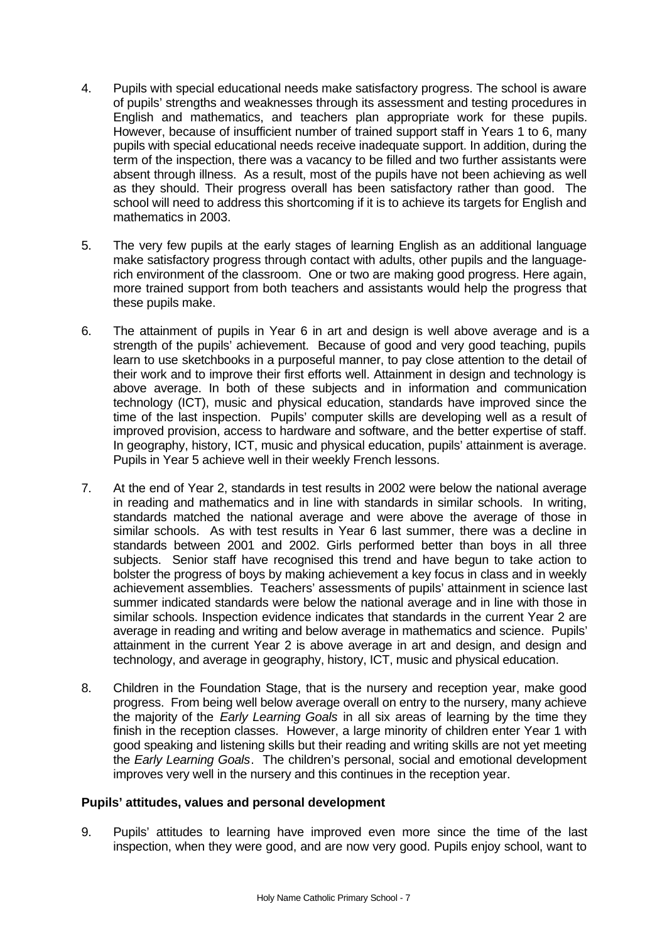- 4. Pupils with special educational needs make satisfactory progress. The school is aware of pupils' strengths and weaknesses through its assessment and testing procedures in English and mathematics, and teachers plan appropriate work for these pupils. However, because of insufficient number of trained support staff in Years 1 to 6, many pupils with special educational needs receive inadequate support. In addition, during the term of the inspection, there was a vacancy to be filled and two further assistants were absent through illness. As a result, most of the pupils have not been achieving as well as they should. Their progress overall has been satisfactory rather than good. The school will need to address this shortcoming if it is to achieve its targets for English and mathematics in 2003.
- 5. The very few pupils at the early stages of learning English as an additional language make satisfactory progress through contact with adults, other pupils and the languagerich environment of the classroom. One or two are making good progress. Here again, more trained support from both teachers and assistants would help the progress that these pupils make.
- 6. The attainment of pupils in Year 6 in art and design is well above average and is a strength of the pupils' achievement. Because of good and very good teaching, pupils learn to use sketchbooks in a purposeful manner, to pay close attention to the detail of their work and to improve their first efforts well. Attainment in design and technology is above average. In both of these subjects and in information and communication technology (ICT), music and physical education, standards have improved since the time of the last inspection. Pupils' computer skills are developing well as a result of improved provision, access to hardware and software, and the better expertise of staff. In geography, history, ICT, music and physical education, pupils' attainment is average. Pupils in Year 5 achieve well in their weekly French lessons.
- 7. At the end of Year 2, standards in test results in 2002 were below the national average in reading and mathematics and in line with standards in similar schools. In writing, standards matched the national average and were above the average of those in similar schools. As with test results in Year 6 last summer, there was a decline in standards between 2001 and 2002. Girls performed better than boys in all three subjects. Senior staff have recognised this trend and have begun to take action to bolster the progress of boys by making achievement a key focus in class and in weekly achievement assemblies. Teachers' assessments of pupils' attainment in science last summer indicated standards were below the national average and in line with those in similar schools. Inspection evidence indicates that standards in the current Year 2 are average in reading and writing and below average in mathematics and science. Pupils' attainment in the current Year 2 is above average in art and design, and design and technology, and average in geography, history, ICT, music and physical education.
- 8. Children in the Foundation Stage, that is the nursery and reception year, make good progress. From being well below average overall on entry to the nursery, many achieve the majority of the *Early Learning Goals* in all six areas of learning by the time they finish in the reception classes. However, a large minority of children enter Year 1 with good speaking and listening skills but their reading and writing skills are not yet meeting the *Early Learning Goals*. The children's personal, social and emotional development improves very well in the nursery and this continues in the reception year.

# **Pupils' attitudes, values and personal development**

9. Pupils' attitudes to learning have improved even more since the time of the last inspection, when they were good, and are now very good. Pupils enjoy school, want to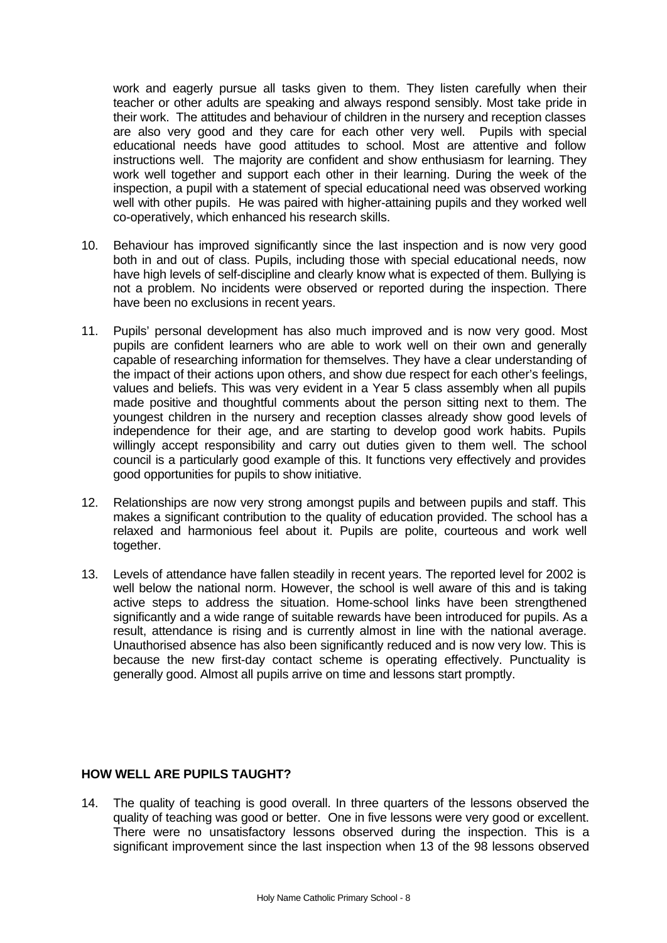work and eagerly pursue all tasks given to them. They listen carefully when their teacher or other adults are speaking and always respond sensibly. Most take pride in their work. The attitudes and behaviour of children in the nursery and reception classes are also very good and they care for each other very well. Pupils with special educational needs have good attitudes to school. Most are attentive and follow instructions well. The majority are confident and show enthusiasm for learning. They work well together and support each other in their learning. During the week of the inspection, a pupil with a statement of special educational need was observed working well with other pupils. He was paired with higher-attaining pupils and they worked well co-operatively, which enhanced his research skills.

- 10. Behaviour has improved significantly since the last inspection and is now very good both in and out of class. Pupils, including those with special educational needs, now have high levels of self-discipline and clearly know what is expected of them. Bullying is not a problem. No incidents were observed or reported during the inspection. There have been no exclusions in recent years.
- 11. Pupils' personal development has also much improved and is now very good. Most pupils are confident learners who are able to work well on their own and generally capable of researching information for themselves. They have a clear understanding of the impact of their actions upon others, and show due respect for each other's feelings, values and beliefs. This was very evident in a Year 5 class assembly when all pupils made positive and thoughtful comments about the person sitting next to them. The youngest children in the nursery and reception classes already show good levels of independence for their age, and are starting to develop good work habits. Pupils willingly accept responsibility and carry out duties given to them well. The school council is a particularly good example of this. It functions very effectively and provides good opportunities for pupils to show initiative.
- 12. Relationships are now very strong amongst pupils and between pupils and staff. This makes a significant contribution to the quality of education provided. The school has a relaxed and harmonious feel about it. Pupils are polite, courteous and work well together.
- 13. Levels of attendance have fallen steadily in recent years. The reported level for 2002 is well below the national norm. However, the school is well aware of this and is taking active steps to address the situation. Home-school links have been strengthened significantly and a wide range of suitable rewards have been introduced for pupils. As a result, attendance is rising and is currently almost in line with the national average. Unauthorised absence has also been significantly reduced and is now very low. This is because the new first-day contact scheme is operating effectively. Punctuality is generally good. Almost all pupils arrive on time and lessons start promptly.

# **HOW WELL ARE PUPILS TAUGHT?**

14. The quality of teaching is good overall. In three quarters of the lessons observed the quality of teaching was good or better. One in five lessons were very good or excellent. There were no unsatisfactory lessons observed during the inspection. This is a significant improvement since the last inspection when 13 of the 98 lessons observed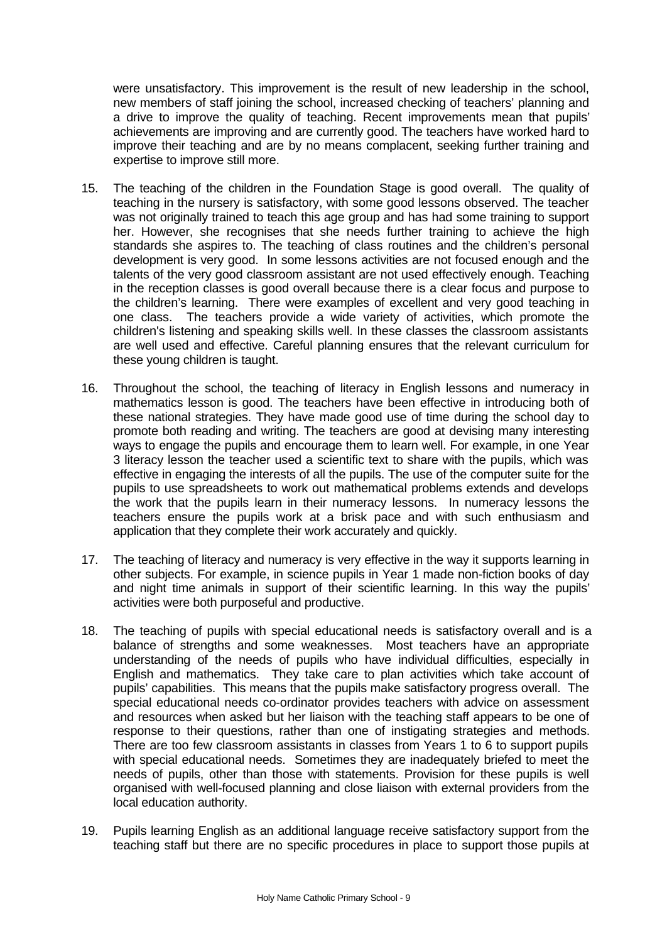were unsatisfactory. This improvement is the result of new leadership in the school, new members of staff joining the school, increased checking of teachers' planning and a drive to improve the quality of teaching. Recent improvements mean that pupils' achievements are improving and are currently good. The teachers have worked hard to improve their teaching and are by no means complacent, seeking further training and expertise to improve still more.

- 15. The teaching of the children in the Foundation Stage is good overall. The quality of teaching in the nursery is satisfactory, with some good lessons observed. The teacher was not originally trained to teach this age group and has had some training to support her. However, she recognises that she needs further training to achieve the high standards she aspires to. The teaching of class routines and the children's personal development is very good. In some lessons activities are not focused enough and the talents of the very good classroom assistant are not used effectively enough. Teaching in the reception classes is good overall because there is a clear focus and purpose to the children's learning. There were examples of excellent and very good teaching in one class. The teachers provide a wide variety of activities, which promote the children's listening and speaking skills well. In these classes the classroom assistants are well used and effective. Careful planning ensures that the relevant curriculum for these young children is taught.
- 16. Throughout the school, the teaching of literacy in English lessons and numeracy in mathematics lesson is good. The teachers have been effective in introducing both of these national strategies. They have made good use of time during the school day to promote both reading and writing. The teachers are good at devising many interesting ways to engage the pupils and encourage them to learn well. For example, in one Year 3 literacy lesson the teacher used a scientific text to share with the pupils, which was effective in engaging the interests of all the pupils. The use of the computer suite for the pupils to use spreadsheets to work out mathematical problems extends and develops the work that the pupils learn in their numeracy lessons. In numeracy lessons the teachers ensure the pupils work at a brisk pace and with such enthusiasm and application that they complete their work accurately and quickly.
- 17. The teaching of literacy and numeracy is very effective in the way it supports learning in other subjects. For example, in science pupils in Year 1 made non-fiction books of day and night time animals in support of their scientific learning. In this way the pupils' activities were both purposeful and productive.
- 18. The teaching of pupils with special educational needs is satisfactory overall and is a balance of strengths and some weaknesses. Most teachers have an appropriate understanding of the needs of pupils who have individual difficulties, especially in English and mathematics. They take care to plan activities which take account of pupils' capabilities. This means that the pupils make satisfactory progress overall. The special educational needs co-ordinator provides teachers with advice on assessment and resources when asked but her liaison with the teaching staff appears to be one of response to their questions, rather than one of instigating strategies and methods. There are too few classroom assistants in classes from Years 1 to 6 to support pupils with special educational needs. Sometimes they are inadequately briefed to meet the needs of pupils, other than those with statements. Provision for these pupils is well organised with well-focused planning and close liaison with external providers from the local education authority.
- 19. Pupils learning English as an additional language receive satisfactory support from the teaching staff but there are no specific procedures in place to support those pupils at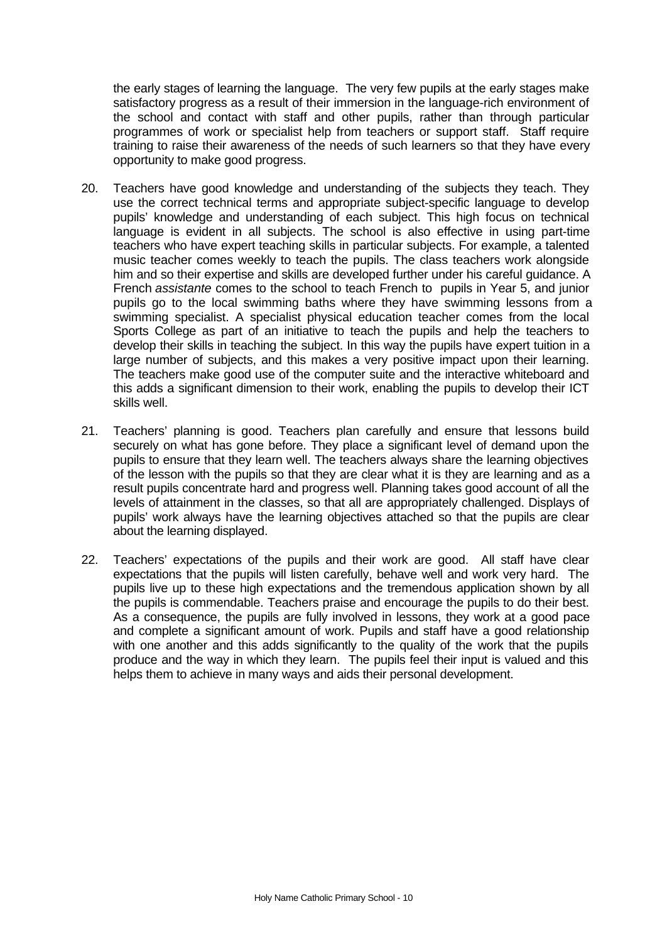the early stages of learning the language. The very few pupils at the early stages make satisfactory progress as a result of their immersion in the language-rich environment of the school and contact with staff and other pupils, rather than through particular programmes of work or specialist help from teachers or support staff. Staff require training to raise their awareness of the needs of such learners so that they have every opportunity to make good progress.

- 20. Teachers have good knowledge and understanding of the subjects they teach. They use the correct technical terms and appropriate subject-specific language to develop pupils' knowledge and understanding of each subject. This high focus on technical language is evident in all subjects. The school is also effective in using part-time teachers who have expert teaching skills in particular subjects. For example, a talented music teacher comes weekly to teach the pupils. The class teachers work alongside him and so their expertise and skills are developed further under his careful guidance. A French *assistante* comes to the school to teach French to pupils in Year 5, and junior pupils go to the local swimming baths where they have swimming lessons from a swimming specialist. A specialist physical education teacher comes from the local Sports College as part of an initiative to teach the pupils and help the teachers to develop their skills in teaching the subject. In this way the pupils have expert tuition in a large number of subjects, and this makes a very positive impact upon their learning. The teachers make good use of the computer suite and the interactive whiteboard and this adds a significant dimension to their work, enabling the pupils to develop their ICT skills well.
- 21. Teachers' planning is good. Teachers plan carefully and ensure that lessons build securely on what has gone before. They place a significant level of demand upon the pupils to ensure that they learn well. The teachers always share the learning objectives of the lesson with the pupils so that they are clear what it is they are learning and as a result pupils concentrate hard and progress well. Planning takes good account of all the levels of attainment in the classes, so that all are appropriately challenged. Displays of pupils' work always have the learning objectives attached so that the pupils are clear about the learning displayed.
- 22. Teachers' expectations of the pupils and their work are good. All staff have clear expectations that the pupils will listen carefully, behave well and work very hard. The pupils live up to these high expectations and the tremendous application shown by all the pupils is commendable. Teachers praise and encourage the pupils to do their best. As a consequence, the pupils are fully involved in lessons, they work at a good pace and complete a significant amount of work. Pupils and staff have a good relationship with one another and this adds significantly to the quality of the work that the pupils produce and the way in which they learn. The pupils feel their input is valued and this helps them to achieve in many ways and aids their personal development.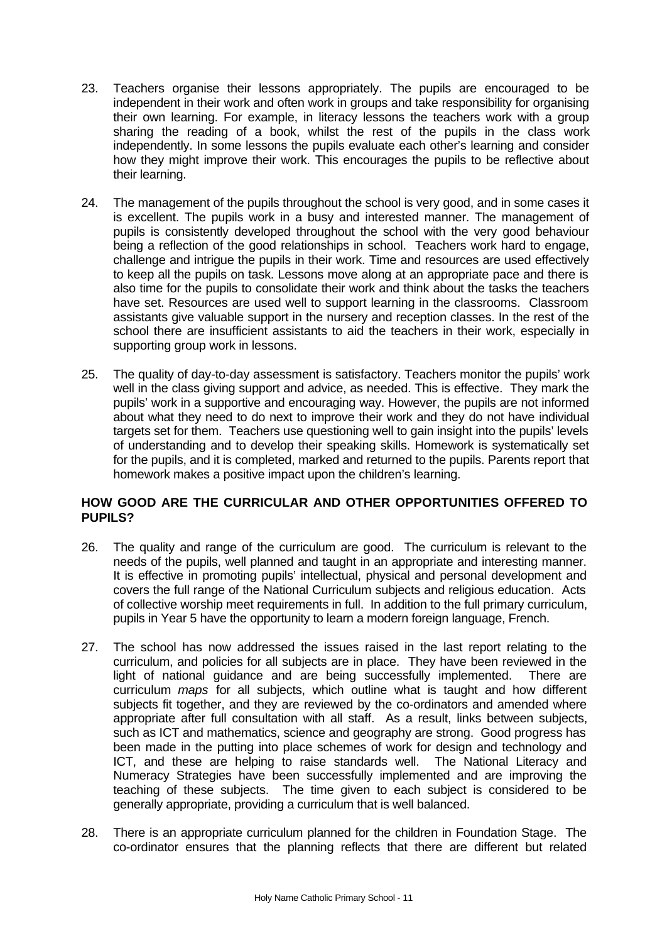- 23. Teachers organise their lessons appropriately. The pupils are encouraged to be independent in their work and often work in groups and take responsibility for organising their own learning. For example, in literacy lessons the teachers work with a group sharing the reading of a book, whilst the rest of the pupils in the class work independently. In some lessons the pupils evaluate each other's learning and consider how they might improve their work. This encourages the pupils to be reflective about their learning.
- 24. The management of the pupils throughout the school is very good, and in some cases it is excellent. The pupils work in a busy and interested manner. The management of pupils is consistently developed throughout the school with the very good behaviour being a reflection of the good relationships in school. Teachers work hard to engage, challenge and intrigue the pupils in their work. Time and resources are used effectively to keep all the pupils on task. Lessons move along at an appropriate pace and there is also time for the pupils to consolidate their work and think about the tasks the teachers have set. Resources are used well to support learning in the classrooms. Classroom assistants give valuable support in the nursery and reception classes. In the rest of the school there are insufficient assistants to aid the teachers in their work, especially in supporting group work in lessons.
- 25. The quality of day-to-day assessment is satisfactory. Teachers monitor the pupils' work well in the class giving support and advice, as needed. This is effective. They mark the pupils' work in a supportive and encouraging way. However, the pupils are not informed about what they need to do next to improve their work and they do not have individual targets set for them. Teachers use questioning well to gain insight into the pupils' levels of understanding and to develop their speaking skills. Homework is systematically set for the pupils, and it is completed, marked and returned to the pupils. Parents report that homework makes a positive impact upon the children's learning.

# **HOW GOOD ARE THE CURRICULAR AND OTHER OPPORTUNITIES OFFERED TO PUPILS?**

- 26. The quality and range of the curriculum are good. The curriculum is relevant to the needs of the pupils, well planned and taught in an appropriate and interesting manner. It is effective in promoting pupils' intellectual, physical and personal development and covers the full range of the National Curriculum subjects and religious education. Acts of collective worship meet requirements in full. In addition to the full primary curriculum, pupils in Year 5 have the opportunity to learn a modern foreign language, French.
- 27. The school has now addressed the issues raised in the last report relating to the curriculum, and policies for all subjects are in place. They have been reviewed in the light of national guidance and are being successfully implemented. There are curriculum *maps* for all subjects, which outline what is taught and how different subjects fit together, and they are reviewed by the co-ordinators and amended where appropriate after full consultation with all staff. As a result, links between subjects, such as ICT and mathematics, science and geography are strong. Good progress has been made in the putting into place schemes of work for design and technology and ICT, and these are helping to raise standards well. The National Literacy and Numeracy Strategies have been successfully implemented and are improving the teaching of these subjects. The time given to each subject is considered to be generally appropriate, providing a curriculum that is well balanced.
- 28. There is an appropriate curriculum planned for the children in Foundation Stage. The co-ordinator ensures that the planning reflects that there are different but related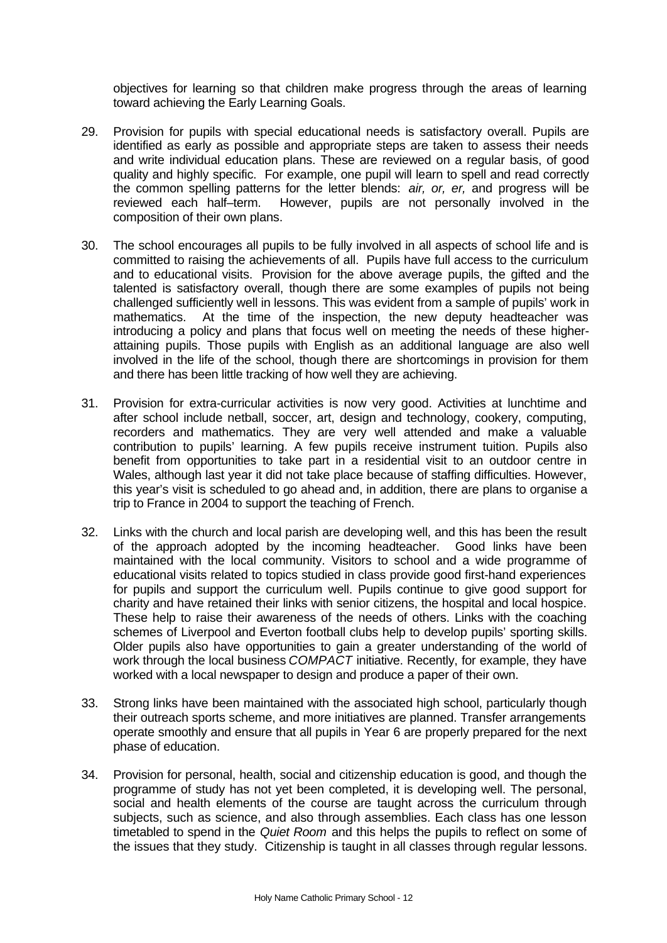objectives for learning so that children make progress through the areas of learning toward achieving the Early Learning Goals.

- 29. Provision for pupils with special educational needs is satisfactory overall. Pupils are identified as early as possible and appropriate steps are taken to assess their needs and write individual education plans. These are reviewed on a regular basis, of good quality and highly specific. For example, one pupil will learn to spell and read correctly the common spelling patterns for the letter blends: *air, or, er,* and progress will be reviewed each half–term. However, pupils are not personally involved in the composition of their own plans.
- 30. The school encourages all pupils to be fully involved in all aspects of school life and is committed to raising the achievements of all. Pupils have full access to the curriculum and to educational visits.Provision for the above average pupils, the gifted and the talented is satisfactory overall, though there are some examples of pupils not being challenged sufficiently well in lessons. This was evident from a sample of pupils' work in mathematics. At the time of the inspection, the new deputy headteacher was introducing a policy and plans that focus well on meeting the needs of these higherattaining pupils. Those pupils with English as an additional language are also well involved in the life of the school, though there are shortcomings in provision for them and there has been little tracking of how well they are achieving.
- 31. Provision for extra-curricular activities is now very good. Activities at lunchtime and after school include netball, soccer, art, design and technology, cookery, computing, recorders and mathematics. They are very well attended and make a valuable contribution to pupils' learning. A few pupils receive instrument tuition. Pupils also benefit from opportunities to take part in a residential visit to an outdoor centre in Wales, although last year it did not take place because of staffing difficulties. However, this year's visit is scheduled to go ahead and, in addition, there are plans to organise a trip to France in 2004 to support the teaching of French.
- 32. Links with the church and local parish are developing well, and this has been the result of the approach adopted by the incoming headteacher. Good links have been maintained with the local community. Visitors to school and a wide programme of educational visits related to topics studied in class provide good first-hand experiences for pupils and support the curriculum well. Pupils continue to give good support for charity and have retained their links with senior citizens, the hospital and local hospice. These help to raise their awareness of the needs of others. Links with the coaching schemes of Liverpool and Everton football clubs help to develop pupils' sporting skills. Older pupils also have opportunities to gain a greater understanding of the world of work through the local business *COMPACT* initiative. Recently, for example, they have worked with a local newspaper to design and produce a paper of their own.
- 33. Strong links have been maintained with the associated high school, particularly though their outreach sports scheme, and more initiatives are planned. Transfer arrangements operate smoothly and ensure that all pupils in Year 6 are properly prepared for the next phase of education.
- 34. Provision for personal, health, social and citizenship education is good, and though the programme of study has not yet been completed, it is developing well. The personal, social and health elements of the course are taught across the curriculum through subjects, such as science, and also through assemblies. Each class has one lesson timetabled to spend in the *Quiet Room* and this helps the pupils to reflect on some of the issues that they study. Citizenship is taught in all classes through regular lessons.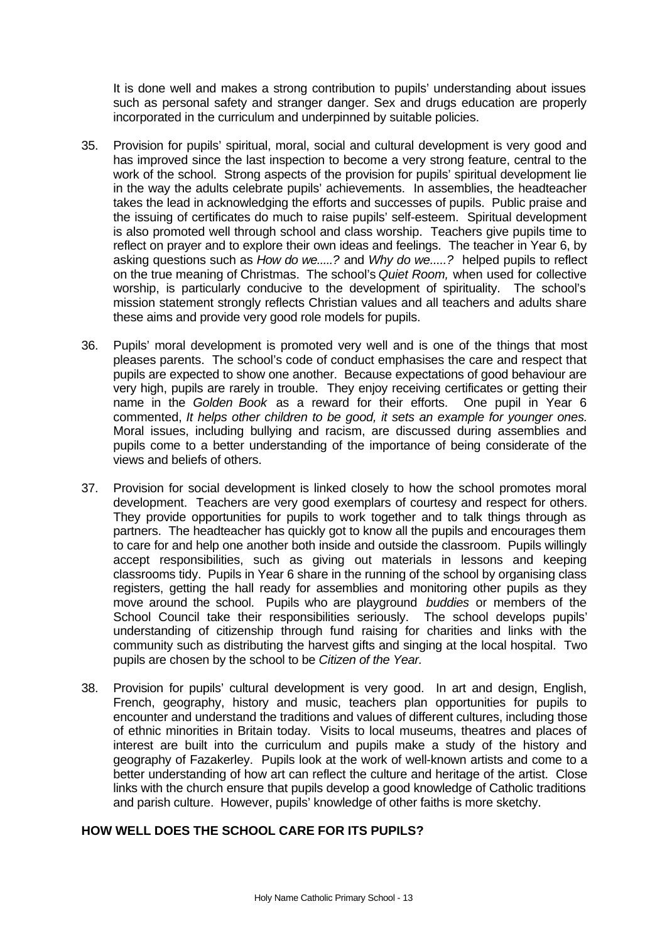It is done well and makes a strong contribution to pupils' understanding about issues such as personal safety and stranger danger. Sex and drugs education are properly incorporated in the curriculum and underpinned by suitable policies.

- 35. Provision for pupils' spiritual, moral, social and cultural development is very good and has improved since the last inspection to become a very strong feature, central to the work of the school. Strong aspects of the provision for pupils' spiritual development lie in the way the adults celebrate pupils' achievements. In assemblies, the headteacher takes the lead in acknowledging the efforts and successes of pupils. Public praise and the issuing of certificates do much to raise pupils' self-esteem. Spiritual development is also promoted well through school and class worship. Teachers give pupils time to reflect on prayer and to explore their own ideas and feelings. The teacher in Year 6, by asking questions such as *How do we.....?* and *Why do we.....?* helped pupils to reflect on the true meaning of Christmas. The school's *Quiet Room,* when used for collective worship, is particularly conducive to the development of spirituality. The school's mission statement strongly reflects Christian values and all teachers and adults share these aims and provide very good role models for pupils.
- 36. Pupils' moral development is promoted very well and is one of the things that most pleases parents. The school's code of conduct emphasises the care and respect that pupils are expected to show one another. Because expectations of good behaviour are very high, pupils are rarely in trouble. They enjoy receiving certificates or getting their name in the *Golden Book* as a reward for their efforts. One pupil in Year 6 commented, *It helps other children to be good, it sets an example for younger ones.* Moral issues, including bullying and racism, are discussed during assemblies and pupils come to a better understanding of the importance of being considerate of the views and beliefs of others.
- 37. Provision for social development is linked closely to how the school promotes moral development. Teachers are very good exemplars of courtesy and respect for others. They provide opportunities for pupils to work together and to talk things through as partners. The headteacher has quickly got to know all the pupils and encourages them to care for and help one another both inside and outside the classroom. Pupils willingly accept responsibilities, such as giving out materials in lessons and keeping classrooms tidy. Pupils in Year 6 share in the running of the school by organising class registers, getting the hall ready for assemblies and monitoring other pupils as they move around the school. Pupils who are playground *buddies* or members of the School Council take their responsibilities seriously. The school develops pupils' understanding of citizenship through fund raising for charities and links with the community such as distributing the harvest gifts and singing at the local hospital. Two pupils are chosen by the school to be *Citizen of the Year.*
- 38. Provision for pupils' cultural development is very good. In art and design, English, French, geography, history and music, teachers plan opportunities for pupils to encounter and understand the traditions and values of different cultures, including those of ethnic minorities in Britain today. Visits to local museums, theatres and places of interest are built into the curriculum and pupils make a study of the history and geography of Fazakerley. Pupils look at the work of well-known artists and come to a better understanding of how art can reflect the culture and heritage of the artist. Close links with the church ensure that pupils develop a good knowledge of Catholic traditions and parish culture. However, pupils' knowledge of other faiths is more sketchy.

# **HOW WELL DOES THE SCHOOL CARE FOR ITS PUPILS?**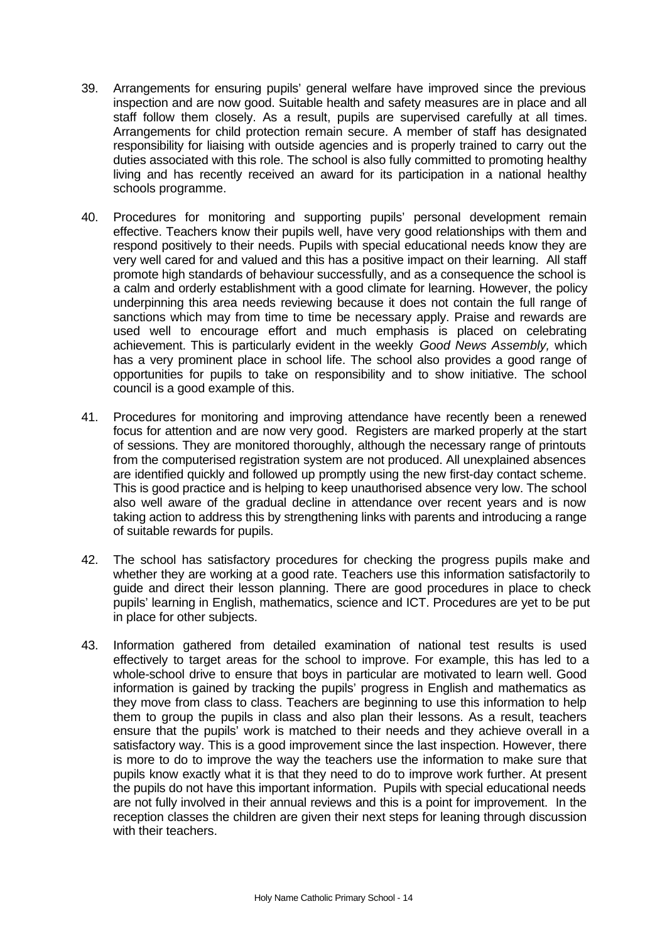- 39. Arrangements for ensuring pupils' general welfare have improved since the previous inspection and are now good. Suitable health and safety measures are in place and all staff follow them closely. As a result, pupils are supervised carefully at all times. Arrangements for child protection remain secure. A member of staff has designated responsibility for liaising with outside agencies and is properly trained to carry out the duties associated with this role. The school is also fully committed to promoting healthy living and has recently received an award for its participation in a national healthy schools programme.
- 40. Procedures for monitoring and supporting pupils' personal development remain effective. Teachers know their pupils well, have very good relationships with them and respond positively to their needs. Pupils with special educational needs know they are very well cared for and valued and this has a positive impact on their learning. All staff promote high standards of behaviour successfully, and as a consequence the school is a calm and orderly establishment with a good climate for learning. However, the policy underpinning this area needs reviewing because it does not contain the full range of sanctions which may from time to time be necessary apply. Praise and rewards are used well to encourage effort and much emphasis is placed on celebrating achievement. This is particularly evident in the weekly *Good News Assembly,* which has a very prominent place in school life. The school also provides a good range of opportunities for pupils to take on responsibility and to show initiative. The school council is a good example of this.
- 41. Procedures for monitoring and improving attendance have recently been a renewed focus for attention and are now very good. Registers are marked properly at the start of sessions. They are monitored thoroughly, although the necessary range of printouts from the computerised registration system are not produced. All unexplained absences are identified quickly and followed up promptly using the new first-day contact scheme. This is good practice and is helping to keep unauthorised absence very low. The school also well aware of the gradual decline in attendance over recent years and is now taking action to address this by strengthening links with parents and introducing a range of suitable rewards for pupils.
- 42. The school has satisfactory procedures for checking the progress pupils make and whether they are working at a good rate. Teachers use this information satisfactorily to guide and direct their lesson planning. There are good procedures in place to check pupils' learning in English, mathematics, science and ICT. Procedures are yet to be put in place for other subjects.
- 43. Information gathered from detailed examination of national test results is used effectively to target areas for the school to improve. For example, this has led to a whole-school drive to ensure that boys in particular are motivated to learn well. Good information is gained by tracking the pupils' progress in English and mathematics as they move from class to class. Teachers are beginning to use this information to help them to group the pupils in class and also plan their lessons. As a result, teachers ensure that the pupils' work is matched to their needs and they achieve overall in a satisfactory way. This is a good improvement since the last inspection. However, there is more to do to improve the way the teachers use the information to make sure that pupils know exactly what it is that they need to do to improve work further. At present the pupils do not have this important information. Pupils with special educational needs are not fully involved in their annual reviews and this is a point for improvement. In the reception classes the children are given their next steps for leaning through discussion with their teachers.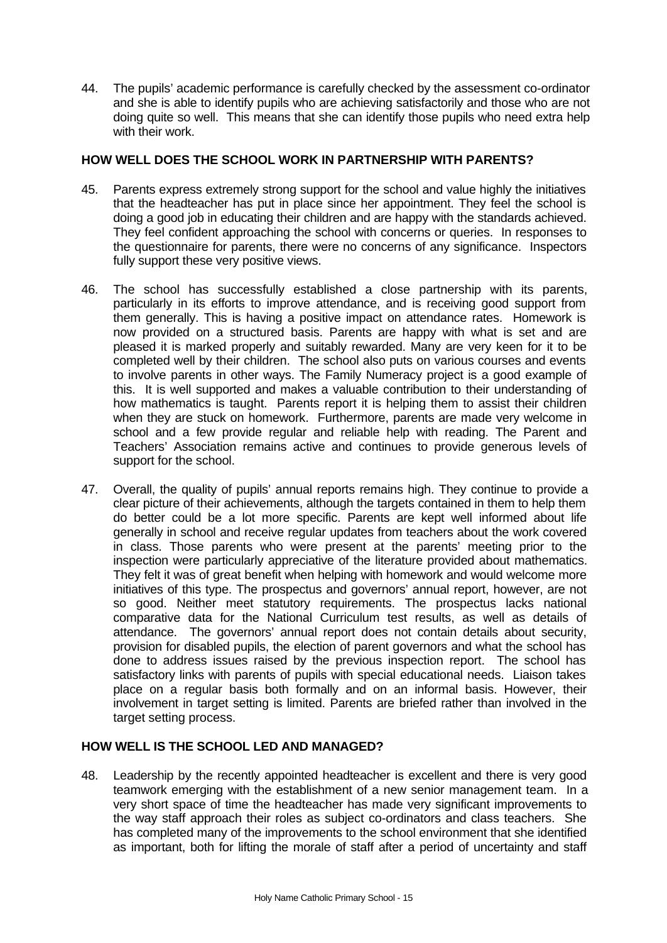44. The pupils' academic performance is carefully checked by the assessment co-ordinator and she is able to identify pupils who are achieving satisfactorily and those who are not doing quite so well. This means that she can identify those pupils who need extra help with their work.

# **HOW WELL DOES THE SCHOOL WORK IN PARTNERSHIP WITH PARENTS?**

- 45. Parents express extremely strong support for the school and value highly the initiatives that the headteacher has put in place since her appointment. They feel the school is doing a good job in educating their children and are happy with the standards achieved. They feel confident approaching the school with concerns or queries. In responses to the questionnaire for parents, there were no concerns of any significance. Inspectors fully support these very positive views.
- 46. The school has successfully established a close partnership with its parents, particularly in its efforts to improve attendance, and is receiving good support from them generally. This is having a positive impact on attendance rates. Homework is now provided on a structured basis. Parents are happy with what is set and are pleased it is marked properly and suitably rewarded. Many are very keen for it to be completed well by their children. The school also puts on various courses and events to involve parents in other ways. The Family Numeracy project is a good example of this. It is well supported and makes a valuable contribution to their understanding of how mathematics is taught. Parents report it is helping them to assist their children when they are stuck on homework. Furthermore, parents are made very welcome in school and a few provide regular and reliable help with reading. The Parent and Teachers' Association remains active and continues to provide generous levels of support for the school.
- 47. Overall, the quality of pupils' annual reports remains high. They continue to provide a clear picture of their achievements, although the targets contained in them to help them do better could be a lot more specific. Parents are kept well informed about life generally in school and receive regular updates from teachers about the work covered in class. Those parents who were present at the parents' meeting prior to the inspection were particularly appreciative of the literature provided about mathematics. They felt it was of great benefit when helping with homework and would welcome more initiatives of this type. The prospectus and governors' annual report, however, are not so good. Neither meet statutory requirements. The prospectus lacks national comparative data for the National Curriculum test results, as well as details of attendance. The governors' annual report does not contain details about security, provision for disabled pupils, the election of parent governors and what the school has done to address issues raised by the previous inspection report. The school has satisfactory links with parents of pupils with special educational needs. Liaison takes place on a regular basis both formally and on an informal basis. However, their involvement in target setting is limited. Parents are briefed rather than involved in the target setting process.

# **HOW WELL IS THE SCHOOL LED AND MANAGED?**

48. Leadership by the recently appointed headteacher is excellent and there is very good teamwork emerging with the establishment of a new senior management team. In a very short space of time the headteacher has made very significant improvements to the way staff approach their roles as subject co-ordinators and class teachers. She has completed many of the improvements to the school environment that she identified as important, both for lifting the morale of staff after a period of uncertainty and staff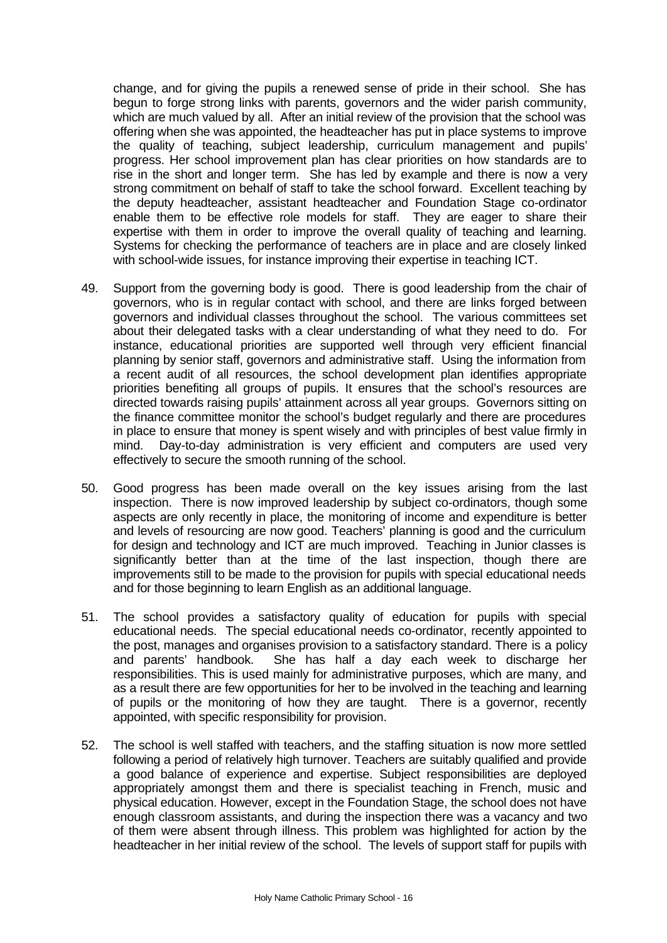change, and for giving the pupils a renewed sense of pride in their school. She has begun to forge strong links with parents, governors and the wider parish community, which are much valued by all. After an initial review of the provision that the school was offering when she was appointed, the headteacher has put in place systems to improve the quality of teaching, subject leadership, curriculum management and pupils' progress. Her school improvement plan has clear priorities on how standards are to rise in the short and longer term. She has led by example and there is now a very strong commitment on behalf of staff to take the school forward. Excellent teaching by the deputy headteacher, assistant headteacher and Foundation Stage co-ordinator enable them to be effective role models for staff. They are eager to share their expertise with them in order to improve the overall quality of teaching and learning. Systems for checking the performance of teachers are in place and are closely linked with school-wide issues, for instance improving their expertise in teaching ICT.

- 49. Support from the governing body is good. There is good leadership from the chair of governors, who is in regular contact with school, and there are links forged between governors and individual classes throughout the school. The various committees set about their delegated tasks with a clear understanding of what they need to do. For instance, educational priorities are supported well through very efficient financial planning by senior staff, governors and administrative staff. Using the information from a recent audit of all resources, the school development plan identifies appropriate priorities benefiting all groups of pupils. It ensures that the school's resources are directed towards raising pupils' attainment across all year groups. Governors sitting on the finance committee monitor the school's budget regularly and there are procedures in place to ensure that money is spent wisely and with principles of best value firmly in mind. Day-to-day administration is very efficient and computers are used very effectively to secure the smooth running of the school.
- 50. Good progress has been made overall on the key issues arising from the last inspection. There is now improved leadership by subject co-ordinators, though some aspects are only recently in place, the monitoring of income and expenditure is better and levels of resourcing are now good. Teachers' planning is good and the curriculum for design and technology and ICT are much improved. Teaching in Junior classes is significantly better than at the time of the last inspection, though there are improvements still to be made to the provision for pupils with special educational needs and for those beginning to learn English as an additional language.
- 51. The school provides a satisfactory quality of education for pupils with special educational needs. The special educational needs co-ordinator, recently appointed to the post, manages and organises provision to a satisfactory standard. There is a policy and parents' handbook. She has half a day each week to discharge her responsibilities. This is used mainly for administrative purposes, which are many, and as a result there are few opportunities for her to be involved in the teaching and learning of pupils or the monitoring of how they are taught. There is a governor, recently appointed, with specific responsibility for provision.
- 52. The school is well staffed with teachers, and the staffing situation is now more settled following a period of relatively high turnover. Teachers are suitably qualified and provide a good balance of experience and expertise. Subject responsibilities are deployed appropriately amongst them and there is specialist teaching in French, music and physical education. However, except in the Foundation Stage, the school does not have enough classroom assistants, and during the inspection there was a vacancy and two of them were absent through illness. This problem was highlighted for action by the headteacher in her initial review of the school. The levels of support staff for pupils with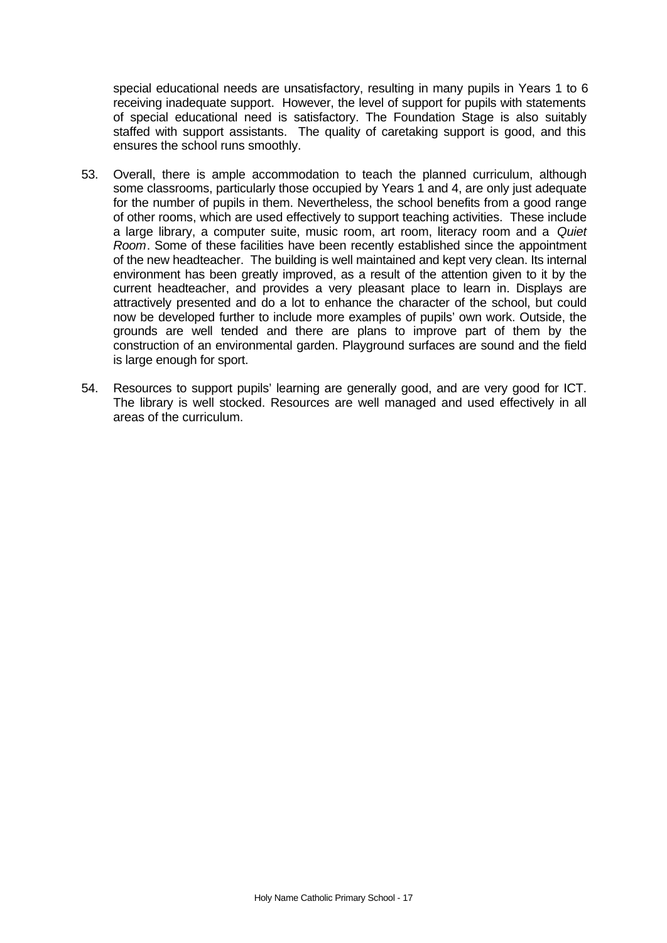special educational needs are unsatisfactory, resulting in many pupils in Years 1 to 6 receiving inadequate support. However, the level of support for pupils with statements of special educational need is satisfactory. The Foundation Stage is also suitably staffed with support assistants. The quality of caretaking support is good, and this ensures the school runs smoothly.

- 53. Overall, there is ample accommodation to teach the planned curriculum, although some classrooms, particularly those occupied by Years 1 and 4, are only just adequate for the number of pupils in them. Nevertheless, the school benefits from a good range of other rooms, which are used effectively to support teaching activities. These include a large library, a computer suite, music room, art room, literacy room and a *Quiet Room*. Some of these facilities have been recently established since the appointment of the new headteacher. The building is well maintained and kept very clean. Its internal environment has been greatly improved, as a result of the attention given to it by the current headteacher, and provides a very pleasant place to learn in. Displays are attractively presented and do a lot to enhance the character of the school, but could now be developed further to include more examples of pupils' own work. Outside, the grounds are well tended and there are plans to improve part of them by the construction of an environmental garden. Playground surfaces are sound and the field is large enough for sport.
- 54. Resources to support pupils' learning are generally good, and are very good for ICT. The library is well stocked. Resources are well managed and used effectively in all areas of the curriculum.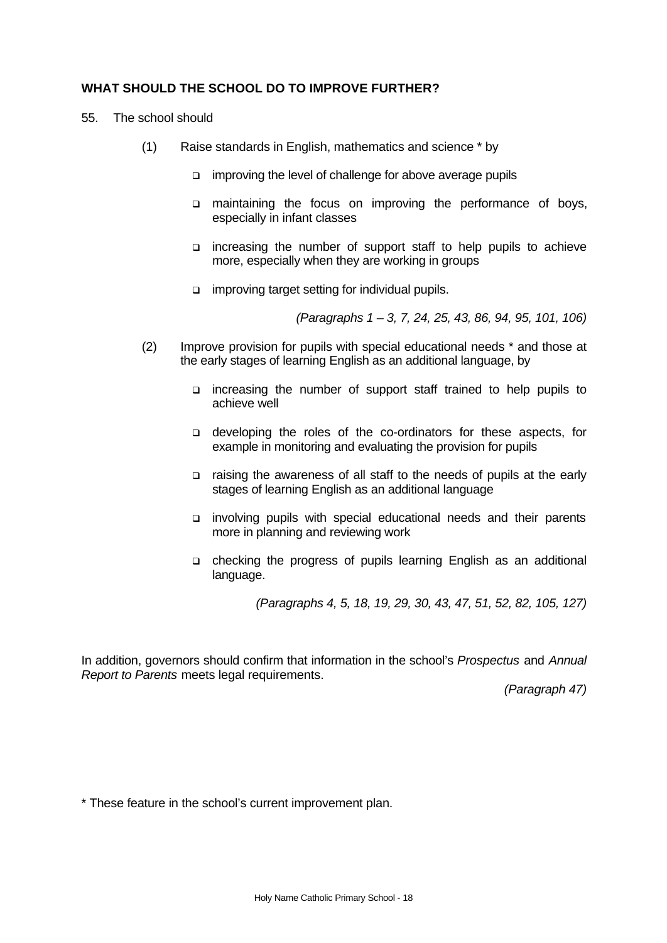# **WHAT SHOULD THE SCHOOL DO TO IMPROVE FURTHER?**

- 55. The school should
	- (1) Raise standards in English, mathematics and science \* by
		- □ improving the level of challenge for above average pupils
		- q maintaining the focus on improving the performance of boys, especially in infant classes
		- q increasing the number of support staff to help pupils to achieve more, especially when they are working in groups
		- $\Box$  improving target setting for individual pupils.

*(Paragraphs 1 – 3, 7, 24, 25, 43, 86, 94, 95, 101, 106)*

- (2) Improve provision for pupils with special educational needs \* and those at the early stages of learning English as an additional language, by
	- $\Box$  increasing the number of support staff trained to help pupils to achieve well
	- q developing the roles of the co-ordinators for these aspects, for example in monitoring and evaluating the provision for pupils
	- q raising the awareness of all staff to the needs of pupils at the early stages of learning English as an additional language
	- q involving pupils with special educational needs and their parents more in planning and reviewing work
	- q checking the progress of pupils learning English as an additional language.

*(Paragraphs 4, 5, 18, 19, 29, 30, 43, 47, 51, 52, 82, 105, 127)*

In addition, governors should confirm that information in the school's *Prospectus* and *Annual Report to Parents* meets legal requirements.

*(Paragraph 47)*

\* These feature in the school's current improvement plan.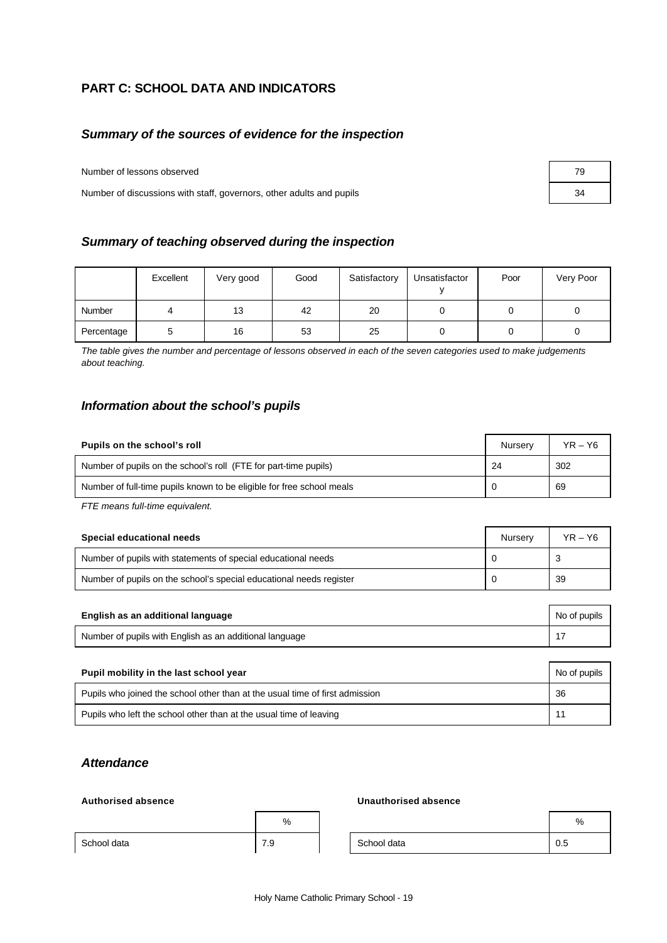# **PART C: SCHOOL DATA AND INDICATORS**

# *Summary of the sources of evidence for the inspection*

Number of lessons observed 79

Number of discussions with staff, governors, other adults and pupils 34

#### *Summary of teaching observed during the inspection*

|            | Excellent | Very good | Good | Satisfactory | Unsatisfactor | Poor | Very Poor |
|------------|-----------|-----------|------|--------------|---------------|------|-----------|
| Number     |           | 13        | 42   | 20           |               |      |           |
| Percentage |           | 16        | 53   | 25           |               |      |           |

*The table gives the number and percentage of lessons observed in each of the seven categories used to make judgements about teaching.*

#### *Information about the school's pupils*

| Pupils on the school's roll                                           | Nurserv | $YR - Y6$ |
|-----------------------------------------------------------------------|---------|-----------|
| Number of pupils on the school's roll (FTE for part-time pupils)      | 24      | 302       |
| Number of full-time pupils known to be eligible for free school meals |         | 69        |

*FTE means full-time equivalent.*

| Special educational needs                                           | Nurserv | YR – Y6 |
|---------------------------------------------------------------------|---------|---------|
| Number of pupils with statements of special educational needs       |         |         |
| Number of pupils on the school's special educational needs register |         | 39      |

| English as an additional language                       | No of pupils |
|---------------------------------------------------------|--------------|
| Number of pupils with English as an additional language |              |
|                                                         |              |

| Pupil mobility in the last school year<br>No of pupils                       |    |  |  |
|------------------------------------------------------------------------------|----|--|--|
| Pupils who joined the school other than at the usual time of first admission | 36 |  |  |
| Pupils who left the school other than at the usual time of leaving           |    |  |  |

# *Attendance*

#### **Authorised absence Unauthorised absence**

|             | %   |             | %   |
|-------------|-----|-------------|-----|
| School data | 7.9 | School data | ບ.ບ |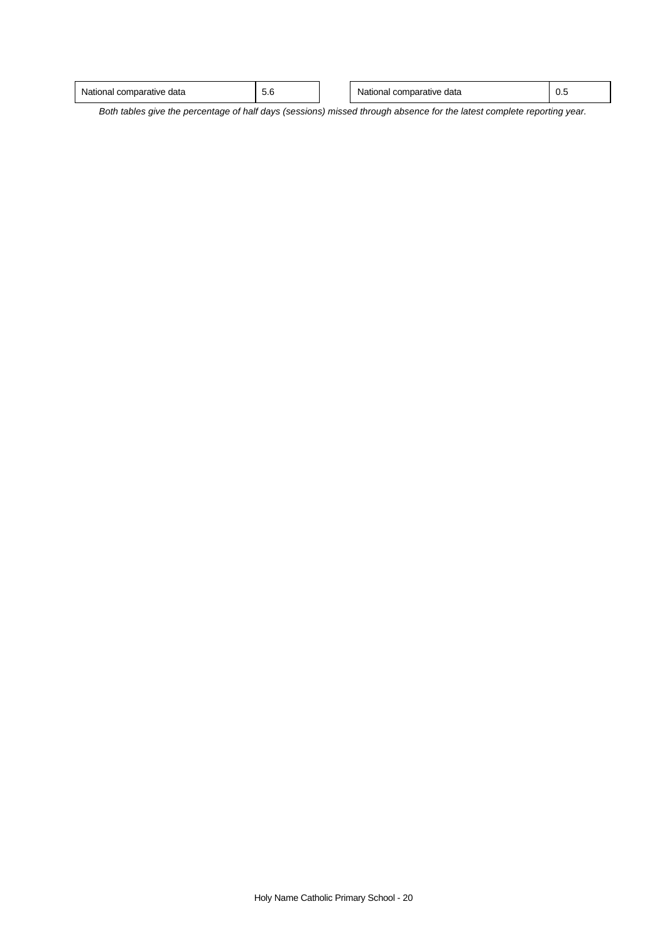| Nat <sub>i</sub><br>data<br>…ative m<br>ıdı<br>. | $\overline{\phantom{0}}$<br>v.v | data<br>4T I C<br>าลเ<br>comoai<br>auve.<br>. | v.v |
|--------------------------------------------------|---------------------------------|-----------------------------------------------|-----|
|                                                  |                                 |                                               |     |

 $\overline{\phantom{a}}$ 

*Both tables give the percentage of half days (sessions) missed through absence for the latest complete reporting year.*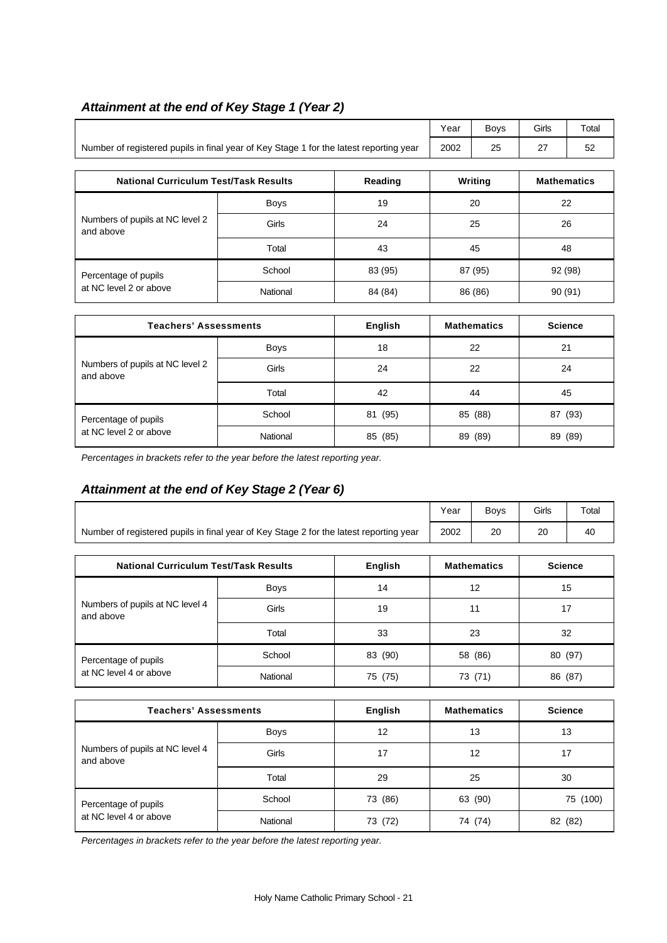# *Attainment at the end of Key Stage 1 (Year 2)*

|                                                                                        | Year | <b>Bovs</b> | Girls    | Total |
|----------------------------------------------------------------------------------------|------|-------------|----------|-------|
| Number of registered pupils in final year of Key Stage 1 for the latest reporting year | 2002 | 25          | <u>.</u> | ວ∠    |

| <b>National Curriculum Test/Task Results</b>   |             | Reading | Writing | <b>Mathematics</b> |
|------------------------------------------------|-------------|---------|---------|--------------------|
| Numbers of pupils at NC level 2<br>and above   | <b>Boys</b> | 19      | 20      | 22                 |
|                                                | Girls       | 24      | 25      | 26                 |
|                                                | Total       | 43      | 45      | 48                 |
| Percentage of pupils<br>at NC level 2 or above | School      | 83 (95) | 87 (95) | 92 (98)            |
|                                                | National    | 84 (84) | 86 (86) | 90 (91)            |

| <b>Teachers' Assessments</b>                   |             | English    | <b>Mathematics</b> | <b>Science</b> |
|------------------------------------------------|-------------|------------|--------------------|----------------|
| Numbers of pupils at NC level 2<br>and above   | <b>Boys</b> | 18         | 22                 | 21             |
|                                                | Girls       | 24         | 22                 | 24             |
|                                                | Total       | 42         | 44                 | 45             |
| Percentage of pupils<br>at NC level 2 or above | School      | (95)<br>81 | 85 (88)            | 87 (93)        |
|                                                | National    | 85 (85)    | (89)<br>89         | 89 (89)        |

*Percentages in brackets refer to the year before the latest reporting year.*

# *Attainment at the end of Key Stage 2 (Year 6)*

|                                                                                        | Year | <b>Bovs</b> | Girls | Total |
|----------------------------------------------------------------------------------------|------|-------------|-------|-------|
| Number of registered pupils in final year of Key Stage 2 for the latest reporting year | 2002 | 20          | חר    | 40    |

| <b>National Curriculum Test/Task Results</b>   |             | English | <b>Mathematics</b> | <b>Science</b> |
|------------------------------------------------|-------------|---------|--------------------|----------------|
| Numbers of pupils at NC level 4<br>and above   | <b>Boys</b> | 14      | 12                 | 15             |
|                                                | Girls       | 19      | 11                 | 17             |
|                                                | Total       | 33      | 23                 | 32             |
| Percentage of pupils<br>at NC level 4 or above | School      | 83 (90) | 58 (86)            | 80 (97)        |
|                                                | National    | 75 (75) | 73 (71)            | 86 (87)        |

| <b>Teachers' Assessments</b>                 |             | <b>English</b> | <b>Mathematics</b> | <b>Science</b> |
|----------------------------------------------|-------------|----------------|--------------------|----------------|
| Numbers of pupils at NC level 4<br>and above | <b>Boys</b> | 12             | 13                 | 13             |
|                                              | Girls       | 17             | 12                 | 17             |
|                                              | Total       | 29             | 25                 | 30             |
| Percentage of pupils                         | School      | 73 (86)        | 63 (90)            | 75 (100)       |
| at NC level 4 or above                       | National    | 73 (72)        | 74 (74)            | 82 (82)        |

*Percentages in brackets refer to the year before the latest reporting year.*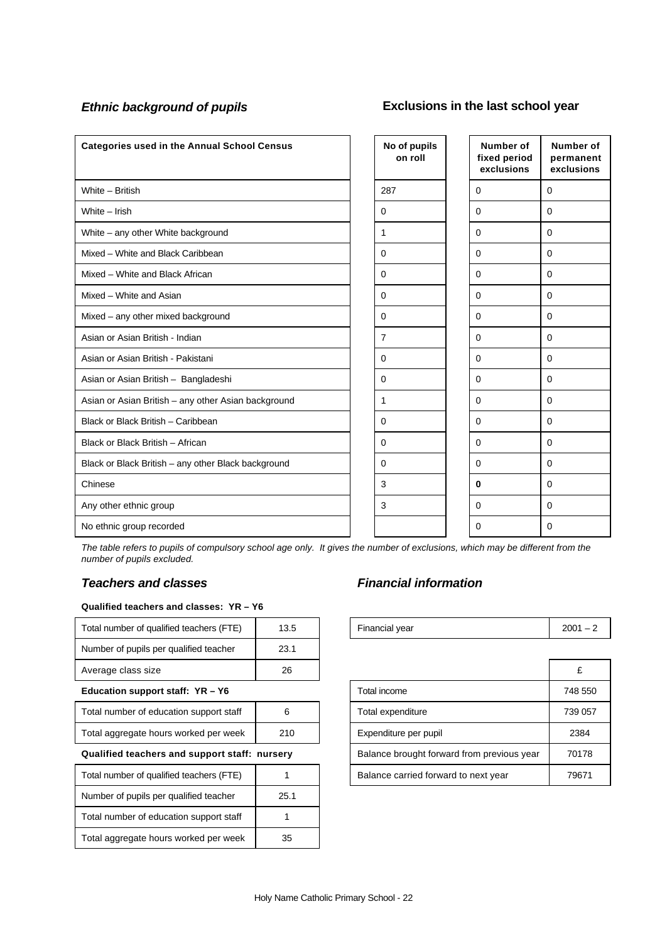# *Ethnic background of pupils* **Exclusions in the last school year**

| <b>Categories used in the Annual School Census</b>  | No of pupils<br>on roll | Number of<br>fixed period<br>exclusions | Number of<br>permanent<br>exclusions |
|-----------------------------------------------------|-------------------------|-----------------------------------------|--------------------------------------|
| White - British                                     | 287                     | $\mathbf 0$                             | $\mathbf 0$                          |
| White - Irish                                       | $\Omega$                | $\Omega$                                | $\Omega$                             |
| White – any other White background                  | 1                       | 0                                       | $\mathbf 0$                          |
| Mixed - White and Black Caribbean                   | 0                       | 0                                       | $\mathbf 0$                          |
| Mixed - White and Black African                     | 0                       | $\Omega$                                | $\mathbf 0$                          |
| Mixed - White and Asian                             | 0                       | $\mathbf 0$                             | $\mathbf 0$                          |
| Mixed - any other mixed background                  | 0                       | $\Omega$                                | $\mathbf 0$                          |
| Asian or Asian British - Indian                     | $\overline{7}$          | $\Omega$                                | $\mathbf 0$                          |
| Asian or Asian British - Pakistani                  | 0                       | $\mathbf 0$                             | $\mathbf 0$                          |
| Asian or Asian British - Bangladeshi                | 0                       | 0                                       | $\mathbf 0$                          |
| Asian or Asian British - any other Asian background | 1                       | 0                                       | 0                                    |
| Black or Black British - Caribbean                  | 0                       | $\Omega$                                | $\mathbf 0$                          |
| Black or Black British - African                    | 0                       | $\Omega$                                | $\Omega$                             |
| Black or Black British - any other Black background | 0                       | $\Omega$                                | $\Omega$                             |
| Chinese                                             | 3                       | $\bf{0}$                                | $\Omega$                             |
| Any other ethnic group                              | 3                       | $\Omega$                                | $\mathbf 0$                          |
| No ethnic group recorded                            |                         | $\Omega$                                | $\Omega$                             |

*The table refers to pupils of compulsory school age only. It gives the number of exclusions, which may be different from the number of pupils excluded.*

#### **Qualified teachers and classes: YR – Y6**

| Total number of qualified teachers (FTE)      | 13.5 | Financial year                             | $2001 -$ |
|-----------------------------------------------|------|--------------------------------------------|----------|
| Number of pupils per qualified teacher        | 23.1 |                                            |          |
| Average class size                            | 26   |                                            | £        |
| Education support staff: $YR - Y6$            |      | Total income                               | 748 55   |
| Total number of education support staff       | 6    | Total expenditure                          | 739 05   |
| Total aggregate hours worked per week         | 210  | Expenditure per pupil                      | 2384     |
| Qualified teachers and support staff: nursery |      | Balance brought forward from previous year | 70178    |
| Total number of qualified teachers (FTE)      |      | Balance carried forward to next year       | 7967     |
| Number of pupils per qualified teacher        | 25.1 |                                            |          |
| Total number of education support staff       |      |                                            |          |
| Total aggregate hours worked per week         | 35   |                                            |          |

# *Teachers and classes Financial information*

| <br>$\overline{\phantom{a}}$<br>™ota⊧<br>, number<br>qualitied<br>teachers<br>Οt<br>∙ ⊢<br><u>ь</u> . | $\sim$<br>ل …∪ | vear<br>$\sim$<br>ساطات. | חמ<br>ZUC. |
|-------------------------------------------------------------------------------------------------------|----------------|--------------------------|------------|
|                                                                                                       |                |                          |            |

| Average class size                            | 26  |  |                                            |         |
|-----------------------------------------------|-----|--|--------------------------------------------|---------|
| Education support staff: YR - Y6              |     |  | Total income                               | 748 550 |
| Total number of education support staff       | 6   |  | Total expenditure                          | 739 057 |
| Total aggregate hours worked per week         | 210 |  | Expenditure per pupil                      | 2384    |
| Qualified teachers and support staff: nursery |     |  | Balance brought forward from previous year | 70178   |
| Total number of qualified teachers (FTE)      |     |  | Balance carried forward to next year       | 79671   |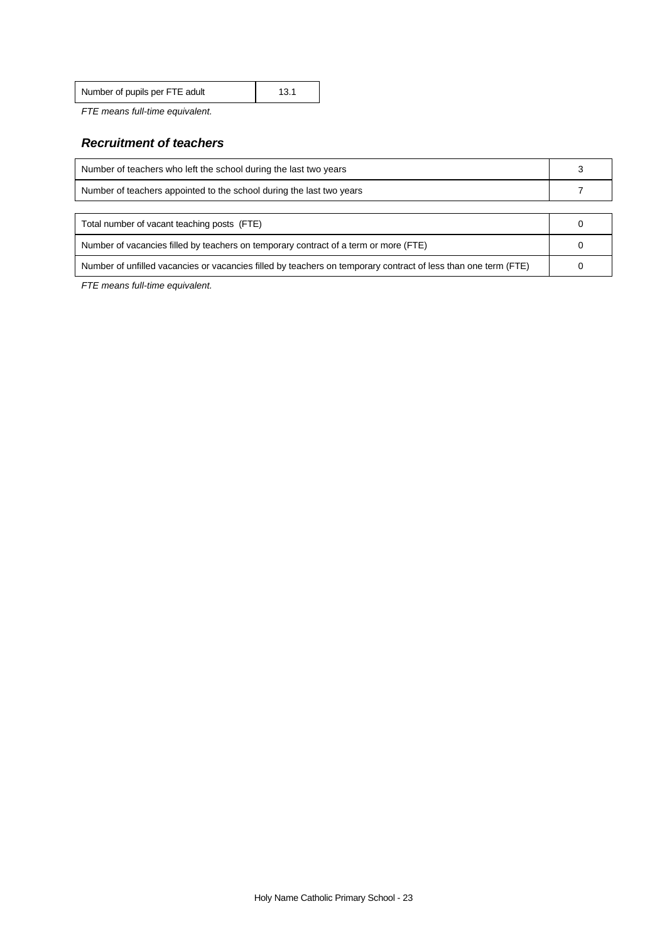| Number of pupils per FTE adult | 13.1 |
|--------------------------------|------|
|                                |      |

*FTE means full-time equivalent.*

# *Recruitment of teachers*

| Number of teachers who left the school during the last two years                     |  |  |
|--------------------------------------------------------------------------------------|--|--|
| Number of teachers appointed to the school during the last two years                 |  |  |
|                                                                                      |  |  |
| Total number of vacant teaching posts (FTE)                                          |  |  |
| Number of vacancies filled by teachers on temporary contract of a term or more (FTE) |  |  |
|                                                                                      |  |  |

Number of unfilled vacancies or vacancies filled by teachers on temporary contract of less than one term (FTE) 0

*FTE means full-time equivalent.*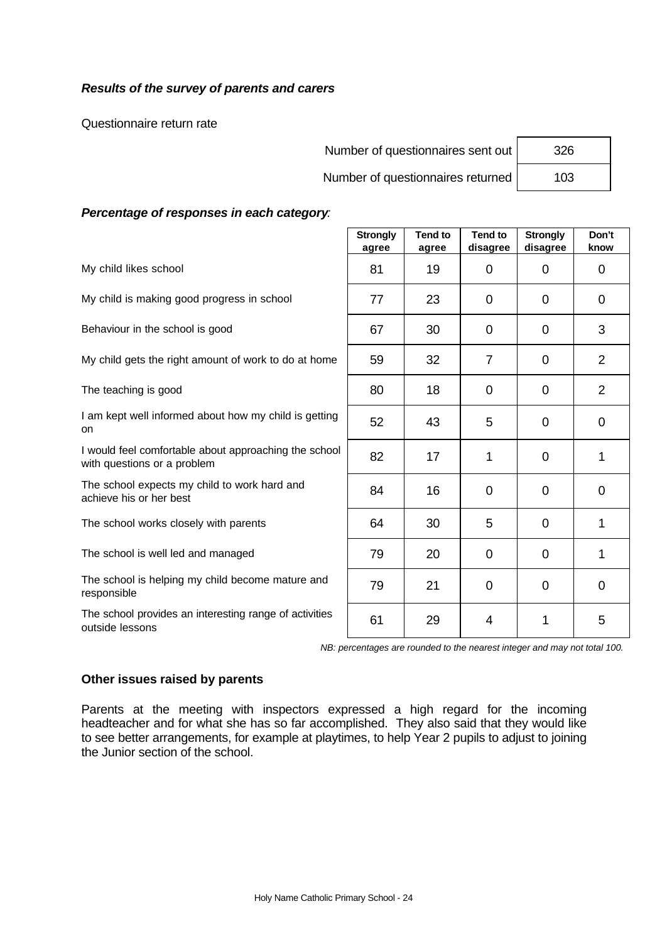# *Results of the survey of parents and carers*

Questionnaire return rate

| Number of questionnaires sent out | 326 |
|-----------------------------------|-----|
|                                   |     |

Number of questionnaires returned

| 326 |  |
|-----|--|
| 103 |  |

#### *Percentage of responses in each category:*

|                                                                                      | <b>Strongly</b><br>agree | <b>Tend to</b><br>agree | <b>Tend to</b><br>disagree | <b>Strongly</b><br>disagree | Don't<br>know  |
|--------------------------------------------------------------------------------------|--------------------------|-------------------------|----------------------------|-----------------------------|----------------|
| My child likes school                                                                | 81                       | 19                      | $\Omega$                   | $\Omega$                    | 0              |
| My child is making good progress in school                                           | 77                       | 23                      | 0                          | 0                           | 0              |
| Behaviour in the school is good                                                      | 67                       | 30                      | $\overline{0}$             | $\overline{0}$              | 3              |
| My child gets the right amount of work to do at home                                 | 59                       | 32                      | $\overline{7}$             | 0                           | $\overline{2}$ |
| The teaching is good                                                                 | 80                       | 18                      | $\Omega$                   | $\Omega$                    | $\overline{2}$ |
| I am kept well informed about how my child is getting<br>on                          | 52                       | 43                      | 5                          | $\mathbf 0$                 | $\mathbf 0$    |
| I would feel comfortable about approaching the school<br>with questions or a problem | 82                       | 17                      | 1                          | 0                           | 1              |
| The school expects my child to work hard and<br>achieve his or her best              | 84                       | 16                      | 0                          | 0                           | $\mathbf 0$    |
| The school works closely with parents                                                | 64                       | 30                      | 5                          | 0                           | 1              |
| The school is well led and managed                                                   | 79                       | 20                      | $\Omega$                   | $\overline{0}$              | 1              |
| The school is helping my child become mature and<br>responsible                      | 79                       | 21                      | $\Omega$                   | 0                           | $\mathbf 0$    |
| The school provides an interesting range of activities<br>outside lessons            | 61                       | 29                      | $\overline{4}$             | 1                           | 5              |

*NB: percentages are rounded to the nearest integer and may not total 100.*

#### **Other issues raised by parents**

Parents at the meeting with inspectors expressed a high regard for the incoming headteacher and for what she has so far accomplished. They also said that they would like to see better arrangements, for example at playtimes, to help Year 2 pupils to adjust to joining the Junior section of the school.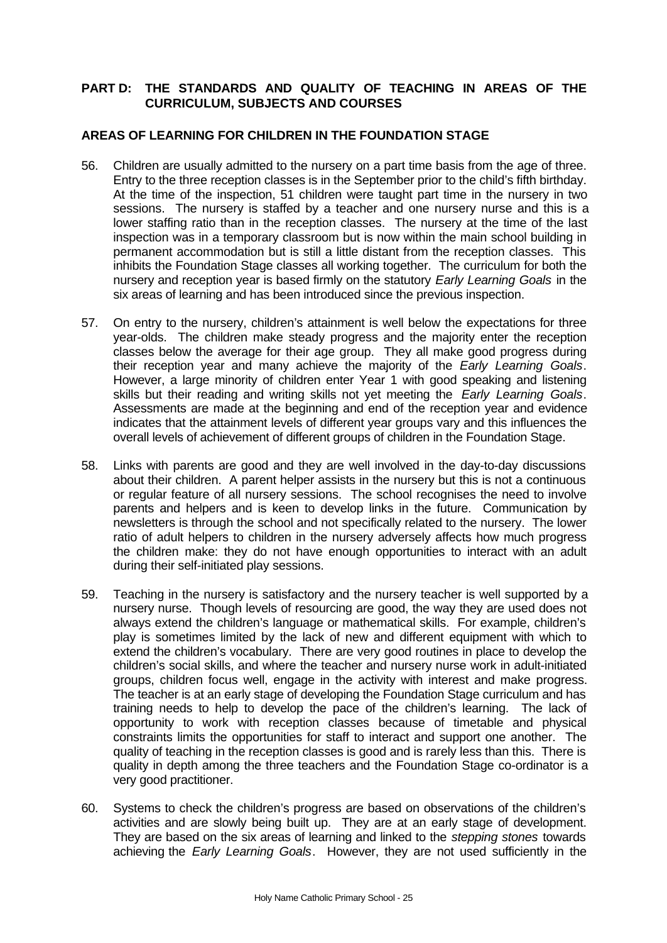# **PART D: THE STANDARDS AND QUALITY OF TEACHING IN AREAS OF THE CURRICULUM, SUBJECTS AND COURSES**

## **AREAS OF LEARNING FOR CHILDREN IN THE FOUNDATION STAGE**

- 56. Children are usually admitted to the nursery on a part time basis from the age of three. Entry to the three reception classes is in the September prior to the child's fifth birthday. At the time of the inspection, 51 children were taught part time in the nursery in two sessions. The nursery is staffed by a teacher and one nursery nurse and this is a lower staffing ratio than in the reception classes. The nursery at the time of the last inspection was in a temporary classroom but is now within the main school building in permanent accommodation but is still a little distant from the reception classes. This inhibits the Foundation Stage classes all working together. The curriculum for both the nursery and reception year is based firmly on the statutory *Early Learning Goals* in the six areas of learning and has been introduced since the previous inspection.
- 57. On entry to the nursery, children's attainment is well below the expectations for three year-olds. The children make steady progress and the majority enter the reception classes below the average for their age group. They all make good progress during their reception year and many achieve the majority of the *Early Learning Goals*. However, a large minority of children enter Year 1 with good speaking and listening skills but their reading and writing skills not yet meeting the *Early Learning Goals*. Assessments are made at the beginning and end of the reception year and evidence indicates that the attainment levels of different year groups vary and this influences the overall levels of achievement of different groups of children in the Foundation Stage.
- 58. Links with parents are good and they are well involved in the day-to-day discussions about their children. A parent helper assists in the nursery but this is not a continuous or regular feature of all nursery sessions. The school recognises the need to involve parents and helpers and is keen to develop links in the future. Communication by newsletters is through the school and not specifically related to the nursery. The lower ratio of adult helpers to children in the nursery adversely affects how much progress the children make: they do not have enough opportunities to interact with an adult during their self-initiated play sessions.
- 59. Teaching in the nursery is satisfactory and the nursery teacher is well supported by a nursery nurse. Though levels of resourcing are good, the way they are used does not always extend the children's language or mathematical skills. For example, children's play is sometimes limited by the lack of new and different equipment with which to extend the children's vocabulary. There are very good routines in place to develop the children's social skills, and where the teacher and nursery nurse work in adult-initiated groups, children focus well, engage in the activity with interest and make progress. The teacher is at an early stage of developing the Foundation Stage curriculum and has training needs to help to develop the pace of the children's learning. The lack of opportunity to work with reception classes because of timetable and physical constraints limits the opportunities for staff to interact and support one another. The quality of teaching in the reception classes is good and is rarely less than this. There is quality in depth among the three teachers and the Foundation Stage co-ordinator is a very good practitioner.
- 60. Systems to check the children's progress are based on observations of the children's activities and are slowly being built up. They are at an early stage of development. They are based on the six areas of learning and linked to the *stepping stones* towards achieving the *Early Learning Goals*. However, they are not used sufficiently in the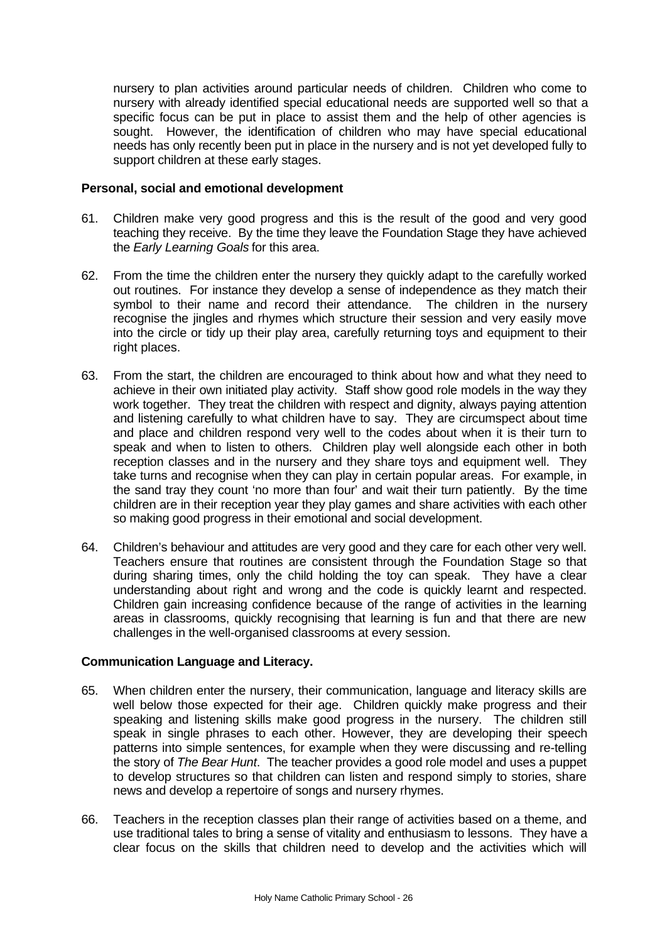nursery to plan activities around particular needs of children. Children who come to nursery with already identified special educational needs are supported well so that a specific focus can be put in place to assist them and the help of other agencies is sought. However, the identification of children who may have special educational needs has only recently been put in place in the nursery and is not yet developed fully to support children at these early stages.

#### **Personal, social and emotional development**

- 61. Children make very good progress and this is the result of the good and very good teaching they receive. By the time they leave the Foundation Stage they have achieved the *Early Learning Goals* for this area.
- 62. From the time the children enter the nursery they quickly adapt to the carefully worked out routines. For instance they develop a sense of independence as they match their symbol to their name and record their attendance. The children in the nursery recognise the jingles and rhymes which structure their session and very easily move into the circle or tidy up their play area, carefully returning toys and equipment to their right places.
- 63. From the start, the children are encouraged to think about how and what they need to achieve in their own initiated play activity. Staff show good role models in the way they work together. They treat the children with respect and dignity, always paying attention and listening carefully to what children have to say. They are circumspect about time and place and children respond very well to the codes about when it is their turn to speak and when to listen to others. Children play well alongside each other in both reception classes and in the nursery and they share toys and equipment well. They take turns and recognise when they can play in certain popular areas. For example, in the sand tray they count 'no more than four' and wait their turn patiently. By the time children are in their reception year they play games and share activities with each other so making good progress in their emotional and social development.
- 64. Children's behaviour and attitudes are very good and they care for each other very well. Teachers ensure that routines are consistent through the Foundation Stage so that during sharing times, only the child holding the toy can speak. They have a clear understanding about right and wrong and the code is quickly learnt and respected. Children gain increasing confidence because of the range of activities in the learning areas in classrooms, quickly recognising that learning is fun and that there are new challenges in the well-organised classrooms at every session.

# **Communication Language and Literacy.**

- 65. When children enter the nursery, their communication, language and literacy skills are well below those expected for their age. Children quickly make progress and their speaking and listening skills make good progress in the nursery. The children still speak in single phrases to each other. However, they are developing their speech patterns into simple sentences, for example when they were discussing and re-telling the story of *The Bear Hunt*. The teacher provides a good role model and uses a puppet to develop structures so that children can listen and respond simply to stories, share news and develop a repertoire of songs and nursery rhymes.
- 66. Teachers in the reception classes plan their range of activities based on a theme, and use traditional tales to bring a sense of vitality and enthusiasm to lessons. They have a clear focus on the skills that children need to develop and the activities which will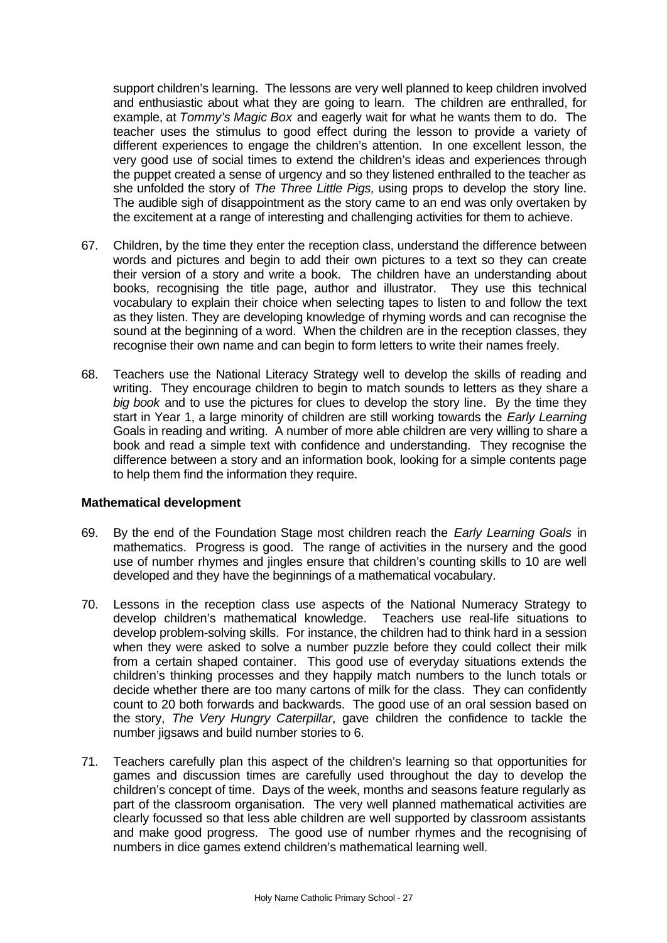support children's learning. The lessons are very well planned to keep children involved and enthusiastic about what they are going to learn. The children are enthralled, for example, at *Tommy's Magic Box* and eagerly wait for what he wants them to do. The teacher uses the stimulus to good effect during the lesson to provide a variety of different experiences to engage the children's attention. In one excellent lesson, the very good use of social times to extend the children's ideas and experiences through the puppet created a sense of urgency and so they listened enthralled to the teacher as she unfolded the story of *The Three Little Pigs,* using props to develop the story line. The audible sigh of disappointment as the story came to an end was only overtaken by the excitement at a range of interesting and challenging activities for them to achieve.

- 67. Children, by the time they enter the reception class, understand the difference between words and pictures and begin to add their own pictures to a text so they can create their version of a story and write a book. The children have an understanding about books, recognising the title page, author and illustrator. They use this technical vocabulary to explain their choice when selecting tapes to listen to and follow the text as they listen. They are developing knowledge of rhyming words and can recognise the sound at the beginning of a word. When the children are in the reception classes, they recognise their own name and can begin to form letters to write their names freely.
- 68. Teachers use the National Literacy Strategy well to develop the skills of reading and writing. They encourage children to begin to match sounds to letters as they share a *big book* and to use the pictures for clues to develop the story line. By the time they start in Year 1, a large minority of children are still working towards the *Early Learning* Goals in reading and writing. A number of more able children are very willing to share a book and read a simple text with confidence and understanding. They recognise the difference between a story and an information book, looking for a simple contents page to help them find the information they require.

#### **Mathematical development**

- 69. By the end of the Foundation Stage most children reach the *Early Learning Goals* in mathematics. Progress is good. The range of activities in the nursery and the good use of number rhymes and jingles ensure that children's counting skills to 10 are well developed and they have the beginnings of a mathematical vocabulary.
- 70. Lessons in the reception class use aspects of the National Numeracy Strategy to develop children's mathematical knowledge. Teachers use real-life situations to develop problem-solving skills. For instance, the children had to think hard in a session when they were asked to solve a number puzzle before they could collect their milk from a certain shaped container. This good use of everyday situations extends the children's thinking processes and they happily match numbers to the lunch totals or decide whether there are too many cartons of milk for the class. They can confidently count to 20 both forwards and backwards. The good use of an oral session based on the story, *The Very Hungry Caterpillar*, gave children the confidence to tackle the number jigsaws and build number stories to 6.
- 71. Teachers carefully plan this aspect of the children's learning so that opportunities for games and discussion times are carefully used throughout the day to develop the children's concept of time. Days of the week, months and seasons feature regularly as part of the classroom organisation. The very well planned mathematical activities are clearly focussed so that less able children are well supported by classroom assistants and make good progress. The good use of number rhymes and the recognising of numbers in dice games extend children's mathematical learning well.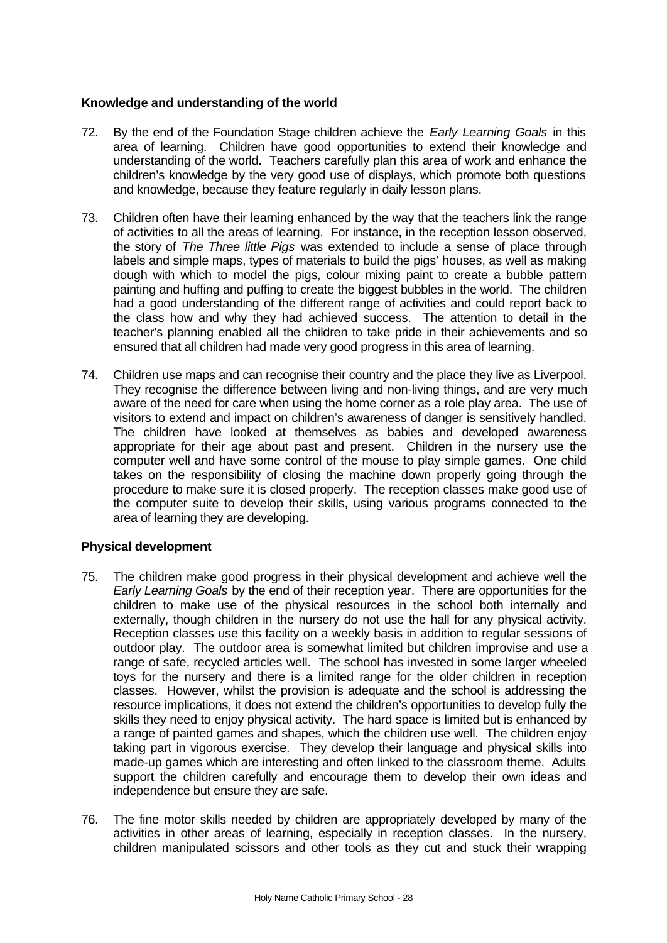# **Knowledge and understanding of the world**

- 72. By the end of the Foundation Stage children achieve the *Early Learning Goals* in this area of learning. Children have good opportunities to extend their knowledge and understanding of the world. Teachers carefully plan this area of work and enhance the children's knowledge by the very good use of displays, which promote both questions and knowledge, because they feature regularly in daily lesson plans.
- 73. Children often have their learning enhanced by the way that the teachers link the range of activities to all the areas of learning. For instance, in the reception lesson observed, the story of *The Three little Pigs* was extended to include a sense of place through labels and simple maps, types of materials to build the pigs' houses, as well as making dough with which to model the pigs, colour mixing paint to create a bubble pattern painting and huffing and puffing to create the biggest bubbles in the world. The children had a good understanding of the different range of activities and could report back to the class how and why they had achieved success. The attention to detail in the teacher's planning enabled all the children to take pride in their achievements and so ensured that all children had made very good progress in this area of learning.
- 74. Children use maps and can recognise their country and the place they live as Liverpool. They recognise the difference between living and non-living things, and are very much aware of the need for care when using the home corner as a role play area. The use of visitors to extend and impact on children's awareness of danger is sensitively handled. The children have looked at themselves as babies and developed awareness appropriate for their age about past and present. Children in the nursery use the computer well and have some control of the mouse to play simple games. One child takes on the responsibility of closing the machine down properly going through the procedure to make sure it is closed properly. The reception classes make good use of the computer suite to develop their skills, using various programs connected to the area of learning they are developing.

# **Physical development**

- 75. The children make good progress in their physical development and achieve well the *Early Learning Goals* by the end of their reception year. There are opportunities for the children to make use of the physical resources in the school both internally and externally, though children in the nursery do not use the hall for any physical activity. Reception classes use this facility on a weekly basis in addition to regular sessions of outdoor play. The outdoor area is somewhat limited but children improvise and use a range of safe, recycled articles well. The school has invested in some larger wheeled toys for the nursery and there is a limited range for the older children in reception classes. However, whilst the provision is adequate and the school is addressing the resource implications, it does not extend the children's opportunities to develop fully the skills they need to enjoy physical activity. The hard space is limited but is enhanced by a range of painted games and shapes, which the children use well. The children enjoy taking part in vigorous exercise. They develop their language and physical skills into made-up games which are interesting and often linked to the classroom theme. Adults support the children carefully and encourage them to develop their own ideas and independence but ensure they are safe.
- 76. The fine motor skills needed by children are appropriately developed by many of the activities in other areas of learning, especially in reception classes. In the nursery, children manipulated scissors and other tools as they cut and stuck their wrapping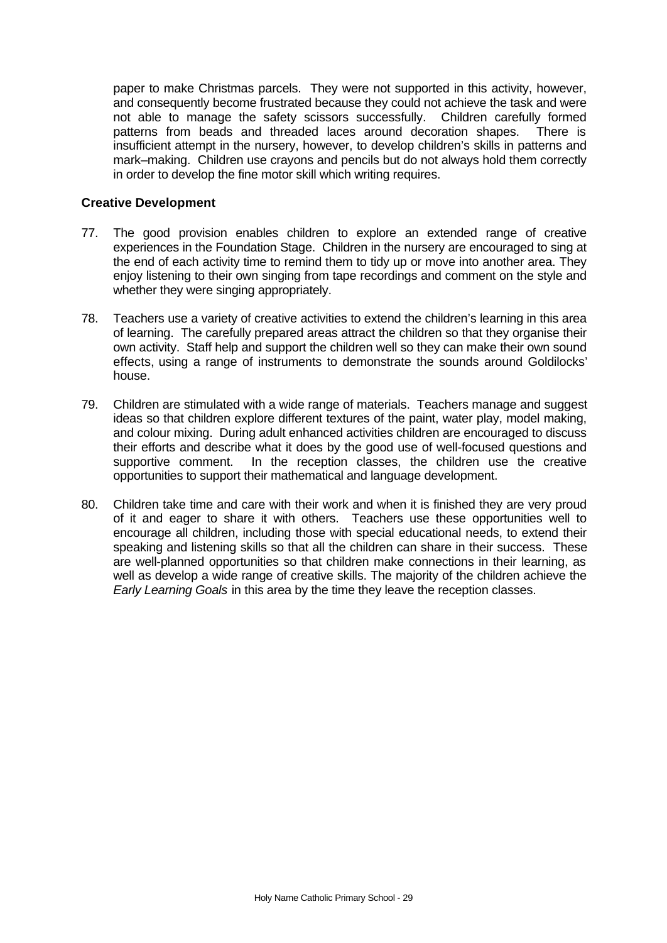paper to make Christmas parcels. They were not supported in this activity, however, and consequently become frustrated because they could not achieve the task and were not able to manage the safety scissors successfully. Children carefully formed patterns from beads and threaded laces around decoration shapes. There is insufficient attempt in the nursery, however, to develop children's skills in patterns and mark–making. Children use crayons and pencils but do not always hold them correctly in order to develop the fine motor skill which writing requires.

#### **Creative Development**

- 77. The good provision enables children to explore an extended range of creative experiences in the Foundation Stage. Children in the nursery are encouraged to sing at the end of each activity time to remind them to tidy up or move into another area. They enjoy listening to their own singing from tape recordings and comment on the style and whether they were singing appropriately.
- 78. Teachers use a variety of creative activities to extend the children's learning in this area of learning. The carefully prepared areas attract the children so that they organise their own activity. Staff help and support the children well so they can make their own sound effects, using a range of instruments to demonstrate the sounds around Goldilocks' house.
- 79. Children are stimulated with a wide range of materials. Teachers manage and suggest ideas so that children explore different textures of the paint, water play, model making, and colour mixing. During adult enhanced activities children are encouraged to discuss their efforts and describe what it does by the good use of well-focused questions and supportive comment. In the reception classes, the children use the creative opportunities to support their mathematical and language development.
- 80. Children take time and care with their work and when it is finished they are very proud of it and eager to share it with others. Teachers use these opportunities well to encourage all children, including those with special educational needs, to extend their speaking and listening skills so that all the children can share in their success. These are well-planned opportunities so that children make connections in their learning, as well as develop a wide range of creative skills. The majority of the children achieve the *Early Learning Goals* in this area by the time they leave the reception classes.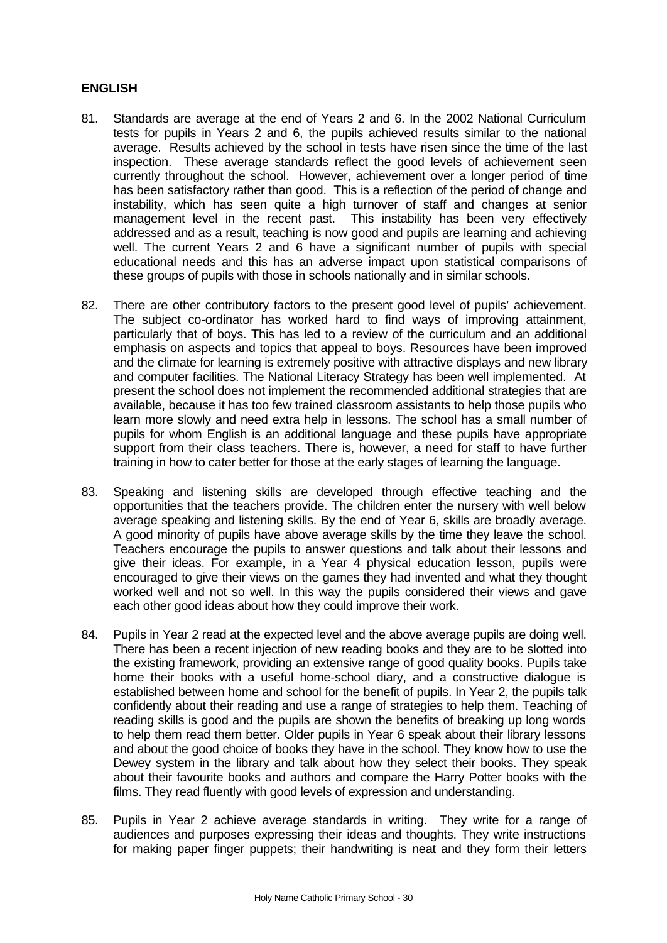# **ENGLISH**

- 81. Standards are average at the end of Years 2 and 6. In the 2002 National Curriculum tests for pupils in Years 2 and 6, the pupils achieved results similar to the national average. Results achieved by the school in tests have risen since the time of the last inspection. These average standards reflect the good levels of achievement seen currently throughout the school. However, achievement over a longer period of time has been satisfactory rather than good. This is a reflection of the period of change and instability, which has seen quite a high turnover of staff and changes at senior management level in the recent past. This instability has been very effectively addressed and as a result, teaching is now good and pupils are learning and achieving well. The current Years 2 and 6 have a significant number of pupils with special educational needs and this has an adverse impact upon statistical comparisons of these groups of pupils with those in schools nationally and in similar schools.
- 82. There are other contributory factors to the present good level of pupils' achievement. The subject co-ordinator has worked hard to find ways of improving attainment, particularly that of boys. This has led to a review of the curriculum and an additional emphasis on aspects and topics that appeal to boys. Resources have been improved and the climate for learning is extremely positive with attractive displays and new library and computer facilities. The National Literacy Strategy has been well implemented. At present the school does not implement the recommended additional strategies that are available, because it has too few trained classroom assistants to help those pupils who learn more slowly and need extra help in lessons. The school has a small number of pupils for whom English is an additional language and these pupils have appropriate support from their class teachers. There is, however, a need for staff to have further training in how to cater better for those at the early stages of learning the language.
- 83. Speaking and listening skills are developed through effective teaching and the opportunities that the teachers provide. The children enter the nursery with well below average speaking and listening skills. By the end of Year 6, skills are broadly average. A good minority of pupils have above average skills by the time they leave the school. Teachers encourage the pupils to answer questions and talk about their lessons and give their ideas. For example, in a Year 4 physical education lesson, pupils were encouraged to give their views on the games they had invented and what they thought worked well and not so well. In this way the pupils considered their views and gave each other good ideas about how they could improve their work.
- 84. Pupils in Year 2 read at the expected level and the above average pupils are doing well. There has been a recent injection of new reading books and they are to be slotted into the existing framework, providing an extensive range of good quality books. Pupils take home their books with a useful home-school diary, and a constructive dialogue is established between home and school for the benefit of pupils. In Year 2, the pupils talk confidently about their reading and use a range of strategies to help them. Teaching of reading skills is good and the pupils are shown the benefits of breaking up long words to help them read them better. Older pupils in Year 6 speak about their library lessons and about the good choice of books they have in the school. They know how to use the Dewey system in the library and talk about how they select their books. They speak about their favourite books and authors and compare the Harry Potter books with the films. They read fluently with good levels of expression and understanding.
- 85. Pupils in Year 2 achieve average standards in writing. They write for a range of audiences and purposes expressing their ideas and thoughts. They write instructions for making paper finger puppets; their handwriting is neat and they form their letters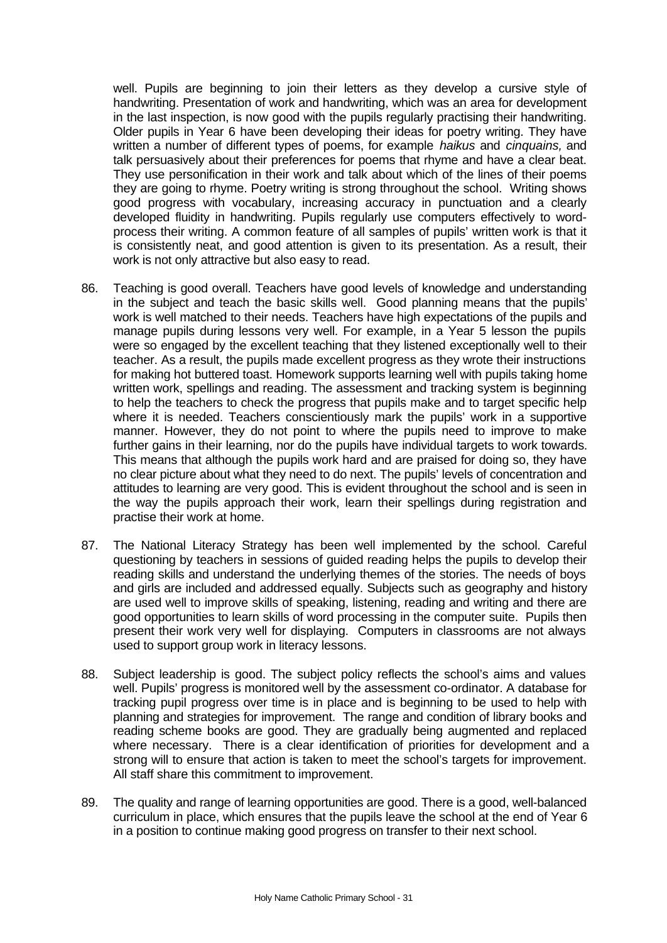well. Pupils are beginning to join their letters as they develop a cursive style of handwriting. Presentation of work and handwriting, which was an area for development in the last inspection, is now good with the pupils regularly practising their handwriting. Older pupils in Year 6 have been developing their ideas for poetry writing. They have written a number of different types of poems, for example *haikus* and *cinquains,* and talk persuasively about their preferences for poems that rhyme and have a clear beat. They use personification in their work and talk about which of the lines of their poems they are going to rhyme. Poetry writing is strong throughout the school. Writing shows good progress with vocabulary, increasing accuracy in punctuation and a clearly developed fluidity in handwriting. Pupils regularly use computers effectively to wordprocess their writing. A common feature of all samples of pupils' written work is that it is consistently neat, and good attention is given to its presentation. As a result, their work is not only attractive but also easy to read.

- 86. Teaching is good overall. Teachers have good levels of knowledge and understanding in the subject and teach the basic skills well. Good planning means that the pupils' work is well matched to their needs. Teachers have high expectations of the pupils and manage pupils during lessons very well. For example, in a Year 5 lesson the pupils were so engaged by the excellent teaching that they listened exceptionally well to their teacher. As a result, the pupils made excellent progress as they wrote their instructions for making hot buttered toast. Homework supports learning well with pupils taking home written work, spellings and reading. The assessment and tracking system is beginning to help the teachers to check the progress that pupils make and to target specific help where it is needed. Teachers conscientiously mark the pupils' work in a supportive manner. However, they do not point to where the pupils need to improve to make further gains in their learning, nor do the pupils have individual targets to work towards. This means that although the pupils work hard and are praised for doing so, they have no clear picture about what they need to do next. The pupils' levels of concentration and attitudes to learning are very good. This is evident throughout the school and is seen in the way the pupils approach their work, learn their spellings during registration and practise their work at home.
- 87. The National Literacy Strategy has been well implemented by the school. Careful questioning by teachers in sessions of guided reading helps the pupils to develop their reading skills and understand the underlying themes of the stories. The needs of boys and girls are included and addressed equally. Subjects such as geography and history are used well to improve skills of speaking, listening, reading and writing and there are good opportunities to learn skills of word processing in the computer suite. Pupils then present their work very well for displaying. Computers in classrooms are not always used to support group work in literacy lessons.
- 88. Subject leadership is good. The subject policy reflects the school's aims and values well. Pupils' progress is monitored well by the assessment co-ordinator. A database for tracking pupil progress over time is in place and is beginning to be used to help with planning and strategies for improvement. The range and condition of library books and reading scheme books are good. They are gradually being augmented and replaced where necessary. There is a clear identification of priorities for development and a strong will to ensure that action is taken to meet the school's targets for improvement. All staff share this commitment to improvement.
- 89. The quality and range of learning opportunities are good. There is a good, well-balanced curriculum in place, which ensures that the pupils leave the school at the end of Year 6 in a position to continue making good progress on transfer to their next school.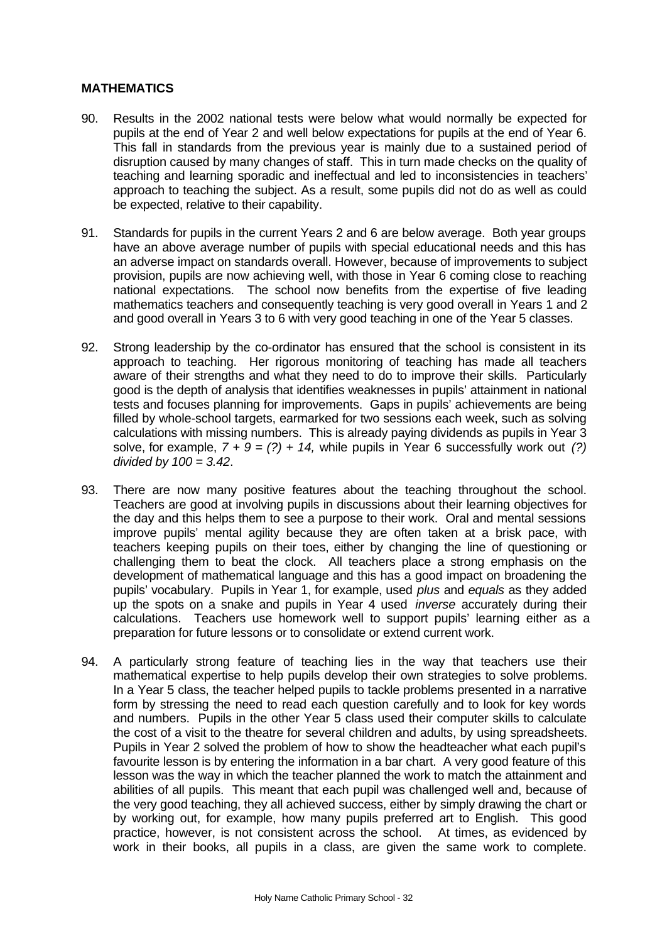# **MATHEMATICS**

- 90. Results in the 2002 national tests were below what would normally be expected for pupils at the end of Year 2 and well below expectations for pupils at the end of Year 6. This fall in standards from the previous year is mainly due to a sustained period of disruption caused by many changes of staff. This in turn made checks on the quality of teaching and learning sporadic and ineffectual and led to inconsistencies in teachers' approach to teaching the subject. As a result, some pupils did not do as well as could be expected, relative to their capability.
- 91. Standards for pupils in the current Years 2 and 6 are below average. Both year groups have an above average number of pupils with special educational needs and this has an adverse impact on standards overall. However, because of improvements to subject provision, pupils are now achieving well, with those in Year 6 coming close to reaching national expectations. The school now benefits from the expertise of five leading mathematics teachers and consequently teaching is very good overall in Years 1 and 2 and good overall in Years 3 to 6 with very good teaching in one of the Year 5 classes.
- 92. Strong leadership by the co-ordinator has ensured that the school is consistent in its approach to teaching. Her rigorous monitoring of teaching has made all teachers aware of their strengths and what they need to do to improve their skills. Particularly good is the depth of analysis that identifies weaknesses in pupils' attainment in national tests and focuses planning for improvements. Gaps in pupils' achievements are being filled by whole-school targets, earmarked for two sessions each week, such as solving calculations with missing numbers. This is already paying dividends as pupils in Year 3 solve, for example,  $7 + 9 = (?) + 14$ , while pupils in Year 6 successfully work out (?) *divided by 100 = 3.42*.
- 93. There are now many positive features about the teaching throughout the school. Teachers are good at involving pupils in discussions about their learning objectives for the day and this helps them to see a purpose to their work. Oral and mental sessions improve pupils' mental agility because they are often taken at a brisk pace, with teachers keeping pupils on their toes, either by changing the line of questioning or challenging them to beat the clock. All teachers place a strong emphasis on the development of mathematical language and this has a good impact on broadening the pupils' vocabulary. Pupils in Year 1, for example, used *plus* and *equals* as they added up the spots on a snake and pupils in Year 4 used *inverse* accurately during their calculations. Teachers use homework well to support pupils' learning either as a preparation for future lessons or to consolidate or extend current work.
- 94. A particularly strong feature of teaching lies in the way that teachers use their mathematical expertise to help pupils develop their own strategies to solve problems. In a Year 5 class, the teacher helped pupils to tackle problems presented in a narrative form by stressing the need to read each question carefully and to look for key words and numbers. Pupils in the other Year 5 class used their computer skills to calculate the cost of a visit to the theatre for several children and adults, by using spreadsheets. Pupils in Year 2 solved the problem of how to show the headteacher what each pupil's favourite lesson is by entering the information in a bar chart. A very good feature of this lesson was the way in which the teacher planned the work to match the attainment and abilities of all pupils. This meant that each pupil was challenged well and, because of the very good teaching, they all achieved success, either by simply drawing the chart or by working out, for example, how many pupils preferred art to English. This good practice, however, is not consistent across the school. At times, as evidenced by work in their books, all pupils in a class, are given the same work to complete.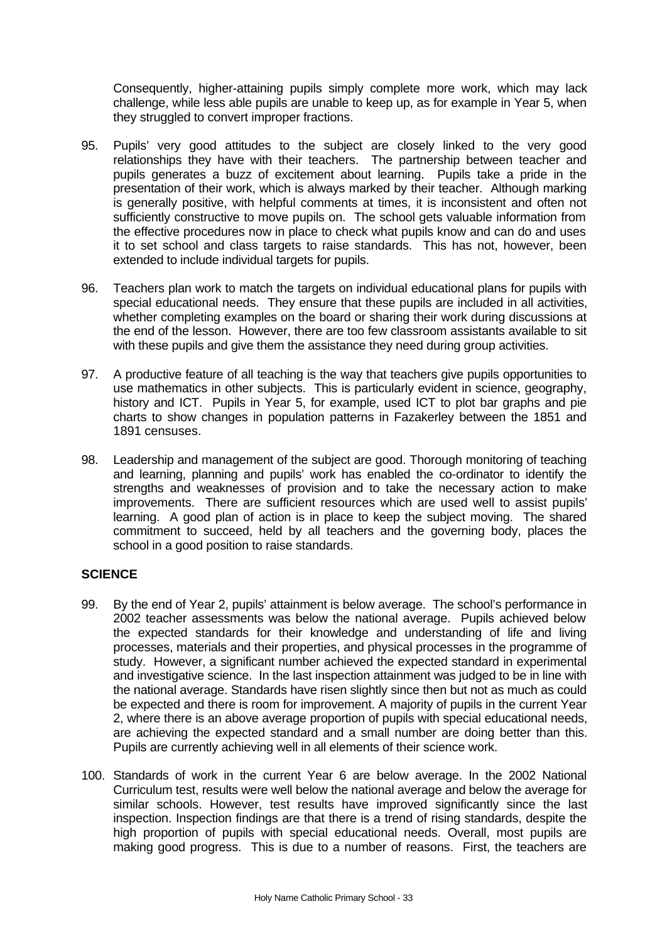Consequently, higher-attaining pupils simply complete more work, which may lack challenge, while less able pupils are unable to keep up, as for example in Year 5, when they struggled to convert improper fractions.

- 95. Pupils' very good attitudes to the subject are closely linked to the very good relationships they have with their teachers. The partnership between teacher and pupils generates a buzz of excitement about learning. Pupils take a pride in the presentation of their work, which is always marked by their teacher. Although marking is generally positive, with helpful comments at times, it is inconsistent and often not sufficiently constructive to move pupils on. The school gets valuable information from the effective procedures now in place to check what pupils know and can do and uses it to set school and class targets to raise standards. This has not, however, been extended to include individual targets for pupils.
- 96. Teachers plan work to match the targets on individual educational plans for pupils with special educational needs. They ensure that these pupils are included in all activities, whether completing examples on the board or sharing their work during discussions at the end of the lesson. However, there are too few classroom assistants available to sit with these pupils and give them the assistance they need during group activities.
- 97. A productive feature of all teaching is the way that teachers give pupils opportunities to use mathematics in other subjects. This is particularly evident in science, geography, history and ICT. Pupils in Year 5, for example, used ICT to plot bar graphs and pie charts to show changes in population patterns in Fazakerley between the 1851 and 1891 censuses.
- 98. Leadership and management of the subject are good. Thorough monitoring of teaching and learning, planning and pupils' work has enabled the co-ordinator to identify the strengths and weaknesses of provision and to take the necessary action to make improvements. There are sufficient resources which are used well to assist pupils' learning. A good plan of action is in place to keep the subject moving. The shared commitment to succeed, held by all teachers and the governing body, places the school in a good position to raise standards.

# **SCIENCE**

- 99. By the end of Year 2, pupils' attainment is below average. The school's performance in 2002 teacher assessments was below the national average. Pupils achieved below the expected standards for their knowledge and understanding of life and living processes, materials and their properties, and physical processes in the programme of study. However, a significant number achieved the expected standard in experimental and investigative science. In the last inspection attainment was judged to be in line with the national average. Standards have risen slightly since then but not as much as could be expected and there is room for improvement. A majority of pupils in the current Year 2, where there is an above average proportion of pupils with special educational needs, are achieving the expected standard and a small number are doing better than this. Pupils are currently achieving well in all elements of their science work.
- 100. Standards of work in the current Year 6 are below average. In the 2002 National Curriculum test, results were well below the national average and below the average for similar schools. However, test results have improved significantly since the last inspection. Inspection findings are that there is a trend of rising standards, despite the high proportion of pupils with special educational needs. Overall, most pupils are making good progress. This is due to a number of reasons. First, the teachers are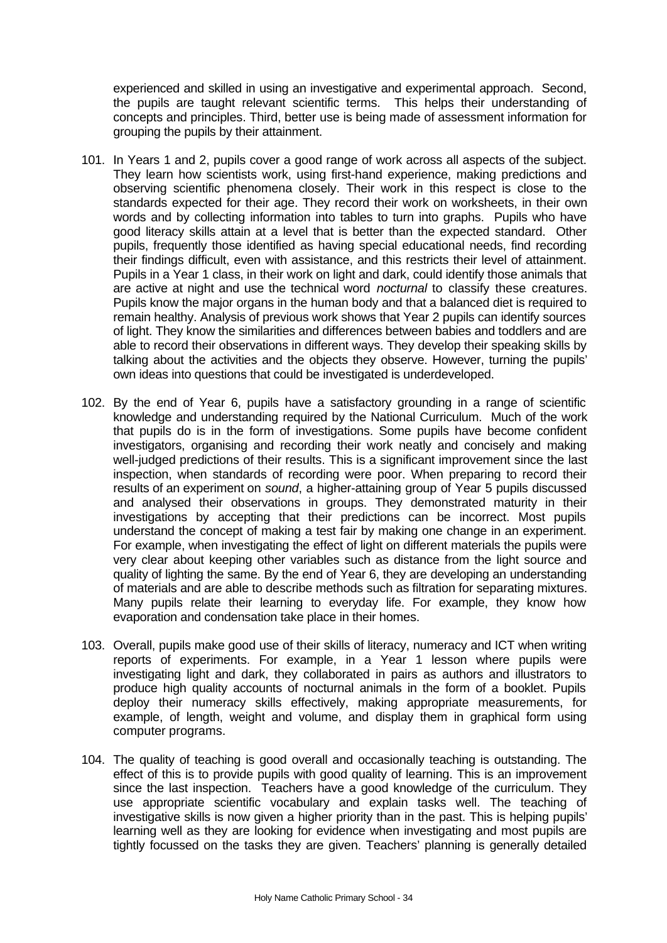experienced and skilled in using an investigative and experimental approach. Second, the pupils are taught relevant scientific terms. This helps their understanding of concepts and principles. Third, better use is being made of assessment information for grouping the pupils by their attainment.

- 101. In Years 1 and 2, pupils cover a good range of work across all aspects of the subject. They learn how scientists work, using first-hand experience, making predictions and observing scientific phenomena closely. Their work in this respect is close to the standards expected for their age. They record their work on worksheets, in their own words and by collecting information into tables to turn into graphs. Pupils who have good literacy skills attain at a level that is better than the expected standard. Other pupils, frequently those identified as having special educational needs, find recording their findings difficult, even with assistance, and this restricts their level of attainment. Pupils in a Year 1 class, in their work on light and dark, could identify those animals that are active at night and use the technical word *nocturnal* to classify these creatures. Pupils know the major organs in the human body and that a balanced diet is required to remain healthy. Analysis of previous work shows that Year 2 pupils can identify sources of light. They know the similarities and differences between babies and toddlers and are able to record their observations in different ways. They develop their speaking skills by talking about the activities and the objects they observe. However, turning the pupils' own ideas into questions that could be investigated is underdeveloped.
- 102. By the end of Year 6, pupils have a satisfactory grounding in a range of scientific knowledge and understanding required by the National Curriculum. Much of the work that pupils do is in the form of investigations. Some pupils have become confident investigators, organising and recording their work neatly and concisely and making well-judged predictions of their results. This is a significant improvement since the last inspection, when standards of recording were poor. When preparing to record their results of an experiment on *sound*, a higher-attaining group of Year 5 pupils discussed and analysed their observations in groups. They demonstrated maturity in their investigations by accepting that their predictions can be incorrect. Most pupils understand the concept of making a test fair by making one change in an experiment. For example, when investigating the effect of light on different materials the pupils were very clear about keeping other variables such as distance from the light source and quality of lighting the same. By the end of Year 6, they are developing an understanding of materials and are able to describe methods such as filtration for separating mixtures. Many pupils relate their learning to everyday life. For example, they know how evaporation and condensation take place in their homes.
- 103. Overall, pupils make good use of their skills of literacy, numeracy and ICT when writing reports of experiments. For example, in a Year 1 lesson where pupils were investigating light and dark, they collaborated in pairs as authors and illustrators to produce high quality accounts of nocturnal animals in the form of a booklet. Pupils deploy their numeracy skills effectively, making appropriate measurements, for example, of length, weight and volume, and display them in graphical form using computer programs.
- 104. The quality of teaching is good overall and occasionally teaching is outstanding. The effect of this is to provide pupils with good quality of learning. This is an improvement since the last inspection. Teachers have a good knowledge of the curriculum. They use appropriate scientific vocabulary and explain tasks well. The teaching of investigative skills is now given a higher priority than in the past. This is helping pupils' learning well as they are looking for evidence when investigating and most pupils are tightly focussed on the tasks they are given. Teachers' planning is generally detailed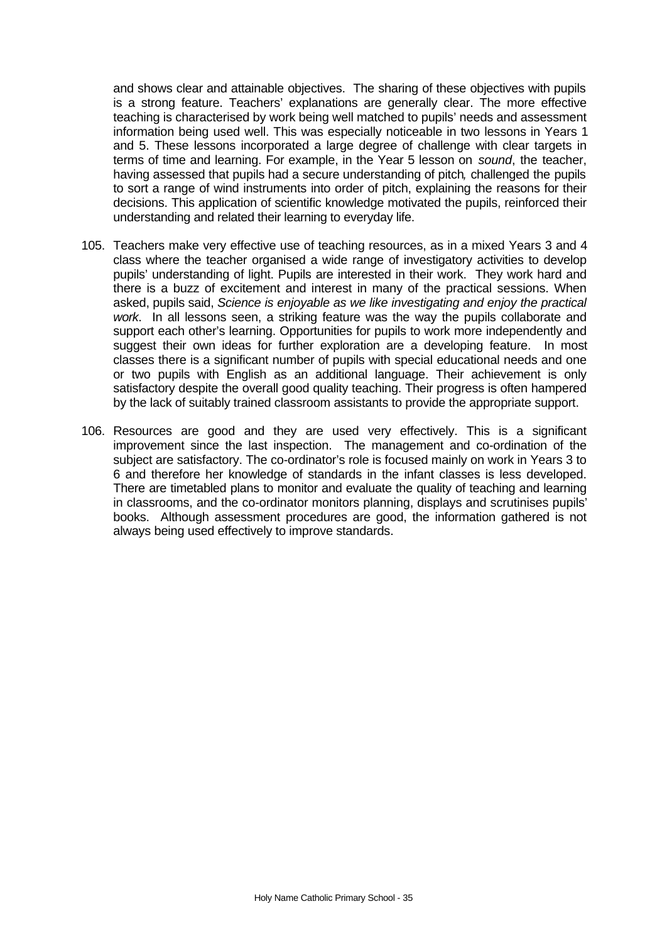and shows clear and attainable objectives. The sharing of these objectives with pupils is a strong feature. Teachers' explanations are generally clear. The more effective teaching is characterised by work being well matched to pupils' needs and assessment information being used well. This was especially noticeable in two lessons in Years 1 and 5. These lessons incorporated a large degree of challenge with clear targets in terms of time and learning. For example, in the Year 5 lesson on *sound*, the teacher, having assessed that pupils had a secure understanding of pitch*,* challenged the pupils to sort a range of wind instruments into order of pitch, explaining the reasons for their decisions. This application of scientific knowledge motivated the pupils, reinforced their understanding and related their learning to everyday life.

- 105. Teachers make very effective use of teaching resources, as in a mixed Years 3 and 4 class where the teacher organised a wide range of investigatory activities to develop pupils' understanding of light. Pupils are interested in their work. They work hard and there is a buzz of excitement and interest in many of the practical sessions. When asked, pupils said, *Science is enjoyable as we like investigating and enjoy the practical work*. In all lessons seen, a striking feature was the way the pupils collaborate and support each other's learning. Opportunities for pupils to work more independently and suggest their own ideas for further exploration are a developing feature. In most classes there is a significant number of pupils with special educational needs and one or two pupils with English as an additional language. Their achievement is only satisfactory despite the overall good quality teaching. Their progress is often hampered by the lack of suitably trained classroom assistants to provide the appropriate support.
- 106. Resources are good and they are used very effectively. This is a significant improvement since the last inspection. The management and co-ordination of the subject are satisfactory. The co-ordinator's role is focused mainly on work in Years 3 to 6 and therefore her knowledge of standards in the infant classes is less developed. There are timetabled plans to monitor and evaluate the quality of teaching and learning in classrooms, and the co-ordinator monitors planning, displays and scrutinises pupils' books. Although assessment procedures are good, the information gathered is not always being used effectively to improve standards.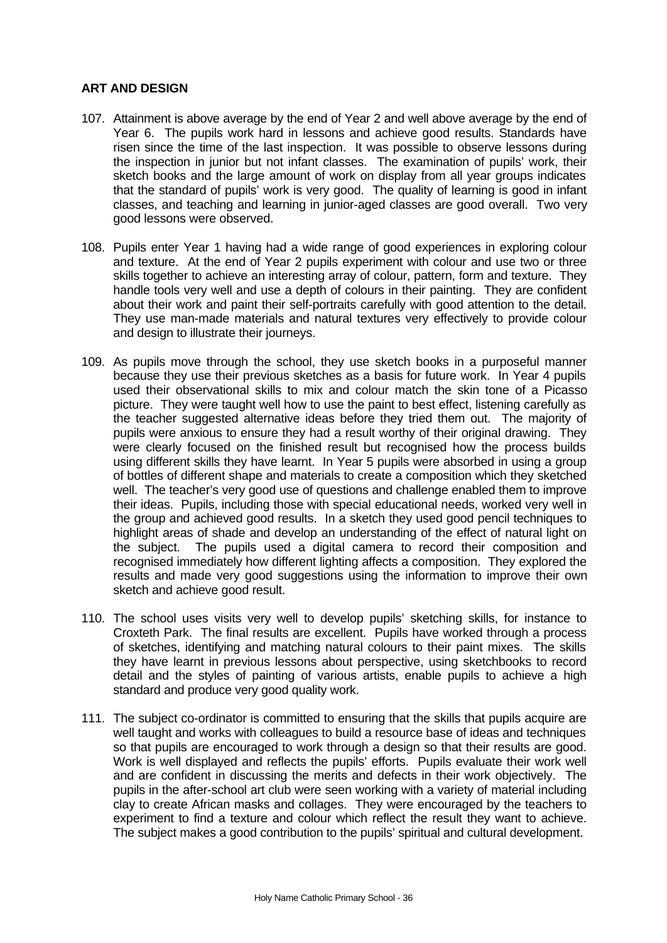# **ART AND DESIGN**

- 107. Attainment is above average by the end of Year 2 and well above average by the end of Year 6. The pupils work hard in lessons and achieve good results. Standards have risen since the time of the last inspection. It was possible to observe lessons during the inspection in junior but not infant classes. The examination of pupils' work, their sketch books and the large amount of work on display from all year groups indicates that the standard of pupils' work is very good. The quality of learning is good in infant classes, and teaching and learning in junior-aged classes are good overall. Two very good lessons were observed.
- 108. Pupils enter Year 1 having had a wide range of good experiences in exploring colour and texture. At the end of Year 2 pupils experiment with colour and use two or three skills together to achieve an interesting array of colour, pattern, form and texture. They handle tools very well and use a depth of colours in their painting. They are confident about their work and paint their self-portraits carefully with good attention to the detail. They use man-made materials and natural textures very effectively to provide colour and design to illustrate their journeys.
- 109. As pupils move through the school, they use sketch books in a purposeful manner because they use their previous sketches as a basis for future work. In Year 4 pupils used their observational skills to mix and colour match the skin tone of a Picasso picture. They were taught well how to use the paint to best effect, listening carefully as the teacher suggested alternative ideas before they tried them out. The majority of pupils were anxious to ensure they had a result worthy of their original drawing. They were clearly focused on the finished result but recognised how the process builds using different skills they have learnt. In Year 5 pupils were absorbed in using a group of bottles of different shape and materials to create a composition which they sketched well. The teacher's very good use of questions and challenge enabled them to improve their ideas. Pupils, including those with special educational needs, worked very well in the group and achieved good results. In a sketch they used good pencil techniques to highlight areas of shade and develop an understanding of the effect of natural light on the subject. The pupils used a digital camera to record their composition and recognised immediately how different lighting affects a composition. They explored the results and made very good suggestions using the information to improve their own sketch and achieve good result.
- 110. The school uses visits very well to develop pupils' sketching skills, for instance to Croxteth Park. The final results are excellent. Pupils have worked through a process of sketches, identifying and matching natural colours to their paint mixes. The skills they have learnt in previous lessons about perspective, using sketchbooks to record detail and the styles of painting of various artists, enable pupils to achieve a high standard and produce very good quality work.
- 111. The subject co-ordinator is committed to ensuring that the skills that pupils acquire are well taught and works with colleagues to build a resource base of ideas and techniques so that pupils are encouraged to work through a design so that their results are good. Work is well displayed and reflects the pupils' efforts. Pupils evaluate their work well and are confident in discussing the merits and defects in their work objectively. The pupils in the after-school art club were seen working with a variety of material including clay to create African masks and collages. They were encouraged by the teachers to experiment to find a texture and colour which reflect the result they want to achieve. The subject makes a good contribution to the pupils' spiritual and cultural development.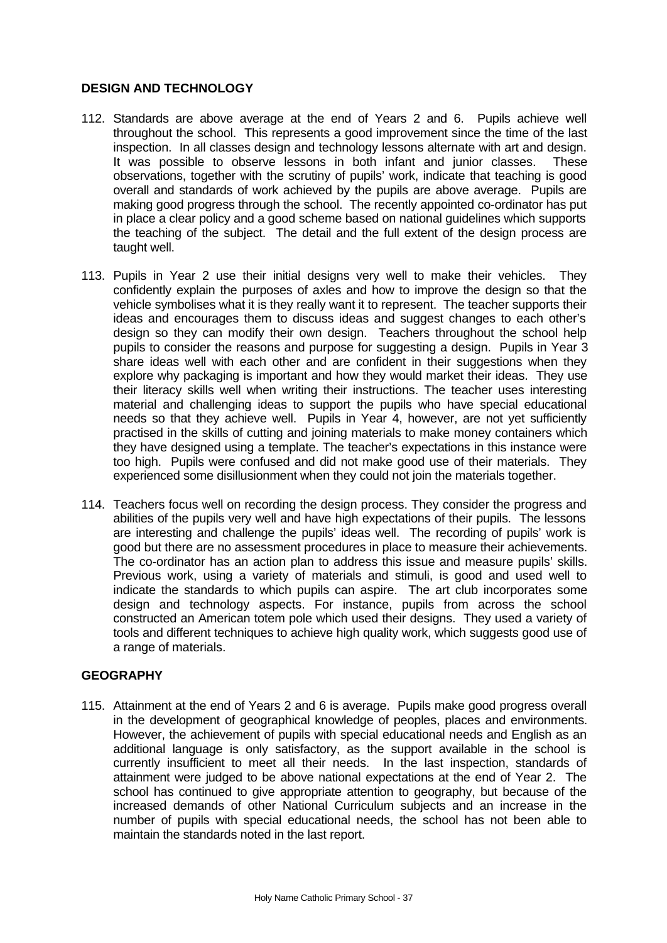# **DESIGN AND TECHNOLOGY**

- 112. Standards are above average at the end of Years 2 and 6. Pupils achieve well throughout the school. This represents a good improvement since the time of the last inspection. In all classes design and technology lessons alternate with art and design. It was possible to observe lessons in both infant and junior classes. These observations, together with the scrutiny of pupils' work, indicate that teaching is good overall and standards of work achieved by the pupils are above average. Pupils are making good progress through the school. The recently appointed co-ordinator has put in place a clear policy and a good scheme based on national guidelines which supports the teaching of the subject. The detail and the full extent of the design process are taught well.
- 113. Pupils in Year 2 use their initial designs very well to make their vehicles. They confidently explain the purposes of axles and how to improve the design so that the vehicle symbolises what it is they really want it to represent. The teacher supports their ideas and encourages them to discuss ideas and suggest changes to each other's design so they can modify their own design. Teachers throughout the school help pupils to consider the reasons and purpose for suggesting a design. Pupils in Year 3 share ideas well with each other and are confident in their suggestions when they explore why packaging is important and how they would market their ideas. They use their literacy skills well when writing their instructions. The teacher uses interesting material and challenging ideas to support the pupils who have special educational needs so that they achieve well. Pupils in Year 4, however, are not yet sufficiently practised in the skills of cutting and joining materials to make money containers which they have designed using a template. The teacher's expectations in this instance were too high. Pupils were confused and did not make good use of their materials. They experienced some disillusionment when they could not join the materials together.
- 114. Teachers focus well on recording the design process. They consider the progress and abilities of the pupils very well and have high expectations of their pupils. The lessons are interesting and challenge the pupils' ideas well. The recording of pupils' work is good but there are no assessment procedures in place to measure their achievements. The co-ordinator has an action plan to address this issue and measure pupils' skills. Previous work, using a variety of materials and stimuli, is good and used well to indicate the standards to which pupils can aspire. The art club incorporates some design and technology aspects. For instance, pupils from across the school constructed an American totem pole which used their designs. They used a variety of tools and different techniques to achieve high quality work, which suggests good use of a range of materials.

# **GEOGRAPHY**

115. Attainment at the end of Years 2 and 6 is average. Pupils make good progress overall in the development of geographical knowledge of peoples, places and environments. However, the achievement of pupils with special educational needs and English as an additional language is only satisfactory, as the support available in the school is currently insufficient to meet all their needs. In the last inspection, standards of attainment were judged to be above national expectations at the end of Year 2. The school has continued to give appropriate attention to geography, but because of the increased demands of other National Curriculum subjects and an increase in the number of pupils with special educational needs, the school has not been able to maintain the standards noted in the last report.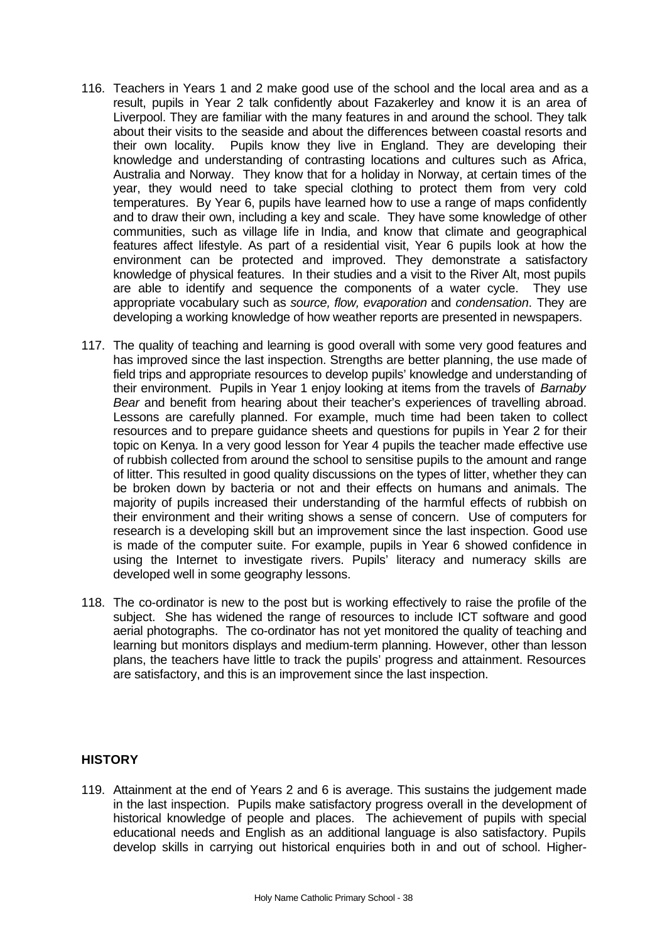- 116. Teachers in Years 1 and 2 make good use of the school and the local area and as a result, pupils in Year 2 talk confidently about Fazakerley and know it is an area of Liverpool. They are familiar with the many features in and around the school. They talk about their visits to the seaside and about the differences between coastal resorts and their own locality. Pupils know they live in England. They are developing their knowledge and understanding of contrasting locations and cultures such as Africa, Australia and Norway. They know that for a holiday in Norway, at certain times of the year, they would need to take special clothing to protect them from very cold temperatures. By Year 6, pupils have learned how to use a range of maps confidently and to draw their own, including a key and scale. They have some knowledge of other communities, such as village life in India, and know that climate and geographical features affect lifestyle. As part of a residential visit, Year 6 pupils look at how the environment can be protected and improved. They demonstrate a satisfactory knowledge of physical features. In their studies and a visit to the River Alt, most pupils are able to identify and sequence the components of a water cycle. They use appropriate vocabulary such as *source, flow, evaporation* and *condensation*. They are developing a working knowledge of how weather reports are presented in newspapers.
- 117. The quality of teaching and learning is good overall with some very good features and has improved since the last inspection. Strengths are better planning, the use made of field trips and appropriate resources to develop pupils' knowledge and understanding of their environment. Pupils in Year 1 enjoy looking at items from the travels of *Barnaby Bear* and benefit from hearing about their teacher's experiences of travelling abroad. Lessons are carefully planned. For example, much time had been taken to collect resources and to prepare guidance sheets and questions for pupils in Year 2 for their topic on Kenya. In a very good lesson for Year 4 pupils the teacher made effective use of rubbish collected from around the school to sensitise pupils to the amount and range of litter. This resulted in good quality discussions on the types of litter, whether they can be broken down by bacteria or not and their effects on humans and animals. The majority of pupils increased their understanding of the harmful effects of rubbish on their environment and their writing shows a sense of concern. Use of computers for research is a developing skill but an improvement since the last inspection. Good use is made of the computer suite. For example, pupils in Year 6 showed confidence in using the Internet to investigate rivers. Pupils' literacy and numeracy skills are developed well in some geography lessons.
- 118. The co-ordinator is new to the post but is working effectively to raise the profile of the subject. She has widened the range of resources to include ICT software and good aerial photographs. The co-ordinator has not yet monitored the quality of teaching and learning but monitors displays and medium-term planning. However, other than lesson plans, the teachers have little to track the pupils' progress and attainment. Resources are satisfactory, and this is an improvement since the last inspection.

# **HISTORY**

119. Attainment at the end of Years 2 and 6 is average. This sustains the judgement made in the last inspection. Pupils make satisfactory progress overall in the development of historical knowledge of people and places. The achievement of pupils with special educational needs and English as an additional language is also satisfactory. Pupils develop skills in carrying out historical enquiries both in and out of school. Higher-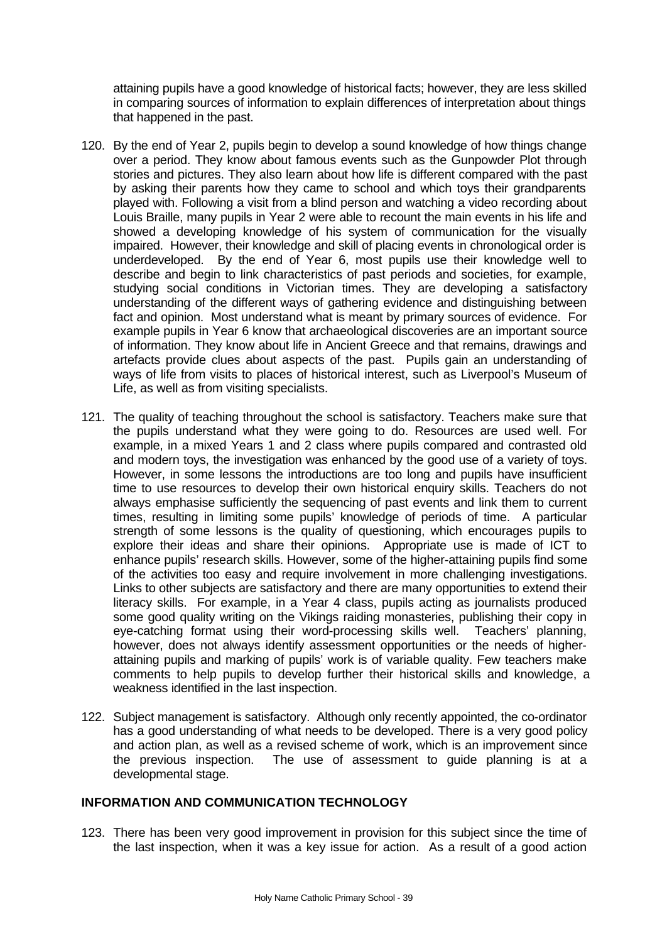attaining pupils have a good knowledge of historical facts; however, they are less skilled in comparing sources of information to explain differences of interpretation about things that happened in the past.

- 120. By the end of Year 2, pupils begin to develop a sound knowledge of how things change over a period. They know about famous events such as the Gunpowder Plot through stories and pictures. They also learn about how life is different compared with the past by asking their parents how they came to school and which toys their grandparents played with. Following a visit from a blind person and watching a video recording about Louis Braille, many pupils in Year 2 were able to recount the main events in his life and showed a developing knowledge of his system of communication for the visually impaired. However, their knowledge and skill of placing events in chronological order is underdeveloped. By the end of Year 6, most pupils use their knowledge well to describe and begin to link characteristics of past periods and societies, for example, studying social conditions in Victorian times. They are developing a satisfactory understanding of the different ways of gathering evidence and distinguishing between fact and opinion. Most understand what is meant by primary sources of evidence. For example pupils in Year 6 know that archaeological discoveries are an important source of information. They know about life in Ancient Greece and that remains, drawings and artefacts provide clues about aspects of the past. Pupils gain an understanding of ways of life from visits to places of historical interest, such as Liverpool's Museum of Life, as well as from visiting specialists.
- 121. The quality of teaching throughout the school is satisfactory. Teachers make sure that the pupils understand what they were going to do. Resources are used well. For example, in a mixed Years 1 and 2 class where pupils compared and contrasted old and modern toys, the investigation was enhanced by the good use of a variety of toys. However, in some lessons the introductions are too long and pupils have insufficient time to use resources to develop their own historical enquiry skills. Teachers do not always emphasise sufficiently the sequencing of past events and link them to current times, resulting in limiting some pupils' knowledge of periods of time. A particular strength of some lessons is the quality of questioning, which encourages pupils to explore their ideas and share their opinions. Appropriate use is made of ICT to enhance pupils' research skills. However, some of the higher-attaining pupils find some of the activities too easy and require involvement in more challenging investigations. Links to other subjects are satisfactory and there are many opportunities to extend their literacy skills. For example, in a Year 4 class, pupils acting as journalists produced some good quality writing on the Vikings raiding monasteries, publishing their copy in eye-catching format using their word-processing skills well. Teachers' planning, however, does not always identify assessment opportunities or the needs of higherattaining pupils and marking of pupils' work is of variable quality. Few teachers make comments to help pupils to develop further their historical skills and knowledge, a weakness identified in the last inspection.
- 122. Subject management is satisfactory. Although only recently appointed, the co-ordinator has a good understanding of what needs to be developed. There is a very good policy and action plan, as well as a revised scheme of work, which is an improvement since the previous inspection. The use of assessment to guide planning is at a developmental stage.

# **INFORMATION AND COMMUNICATION TECHNOLOGY**

123. There has been very good improvement in provision for this subject since the time of the last inspection, when it was a key issue for action. As a result of a good action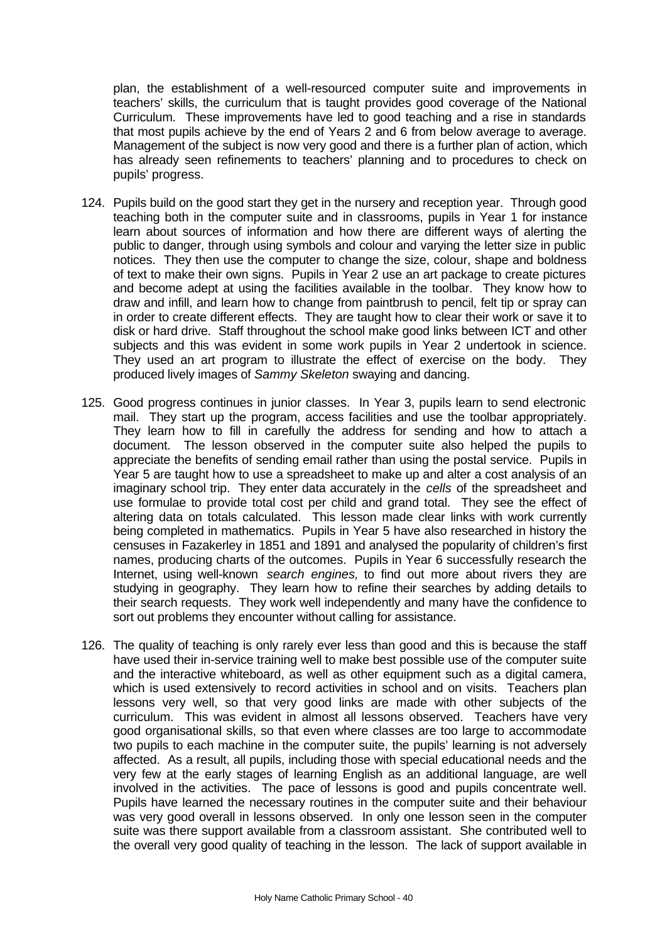plan, the establishment of a well-resourced computer suite and improvements in teachers' skills, the curriculum that is taught provides good coverage of the National Curriculum. These improvements have led to good teaching and a rise in standards that most pupils achieve by the end of Years 2 and 6 from below average to average. Management of the subject is now very good and there is a further plan of action, which has already seen refinements to teachers' planning and to procedures to check on pupils' progress.

- 124. Pupils build on the good start they get in the nursery and reception year. Through good teaching both in the computer suite and in classrooms, pupils in Year 1 for instance learn about sources of information and how there are different ways of alerting the public to danger, through using symbols and colour and varying the letter size in public notices. They then use the computer to change the size, colour, shape and boldness of text to make their own signs. Pupils in Year 2 use an art package to create pictures and become adept at using the facilities available in the toolbar. They know how to draw and infill, and learn how to change from paintbrush to pencil, felt tip or spray can in order to create different effects. They are taught how to clear their work or save it to disk or hard drive. Staff throughout the school make good links between ICT and other subjects and this was evident in some work pupils in Year 2 undertook in science. They used an art program to illustrate the effect of exercise on the body. They produced lively images of *Sammy Skeleton* swaying and dancing.
- 125. Good progress continues in junior classes. In Year 3, pupils learn to send electronic mail. They start up the program, access facilities and use the toolbar appropriately. They learn how to fill in carefully the address for sending and how to attach a document. The lesson observed in the computer suite also helped the pupils to appreciate the benefits of sending email rather than using the postal service. Pupils in Year 5 are taught how to use a spreadsheet to make up and alter a cost analysis of an imaginary school trip. They enter data accurately in the *cells* of the spreadsheet and use formulae to provide total cost per child and grand total. They see the effect of altering data on totals calculated. This lesson made clear links with work currently being completed in mathematics. Pupils in Year 5 have also researched in history the censuses in Fazakerley in 1851 and 1891 and analysed the popularity of children's first names, producing charts of the outcomes. Pupils in Year 6 successfully research the Internet, using well-known *search engines,* to find out more about rivers they are studying in geography. They learn how to refine their searches by adding details to their search requests. They work well independently and many have the confidence to sort out problems they encounter without calling for assistance.
- 126. The quality of teaching is only rarely ever less than good and this is because the staff have used their in-service training well to make best possible use of the computer suite and the interactive whiteboard, as well as other equipment such as a digital camera, which is used extensively to record activities in school and on visits. Teachers plan lessons very well, so that very good links are made with other subjects of the curriculum. This was evident in almost all lessons observed. Teachers have very good organisational skills, so that even where classes are too large to accommodate two pupils to each machine in the computer suite, the pupils' learning is not adversely affected. As a result, all pupils, including those with special educational needs and the very few at the early stages of learning English as an additional language, are well involved in the activities. The pace of lessons is good and pupils concentrate well. Pupils have learned the necessary routines in the computer suite and their behaviour was very good overall in lessons observed. In only one lesson seen in the computer suite was there support available from a classroom assistant. She contributed well to the overall very good quality of teaching in the lesson. The lack of support available in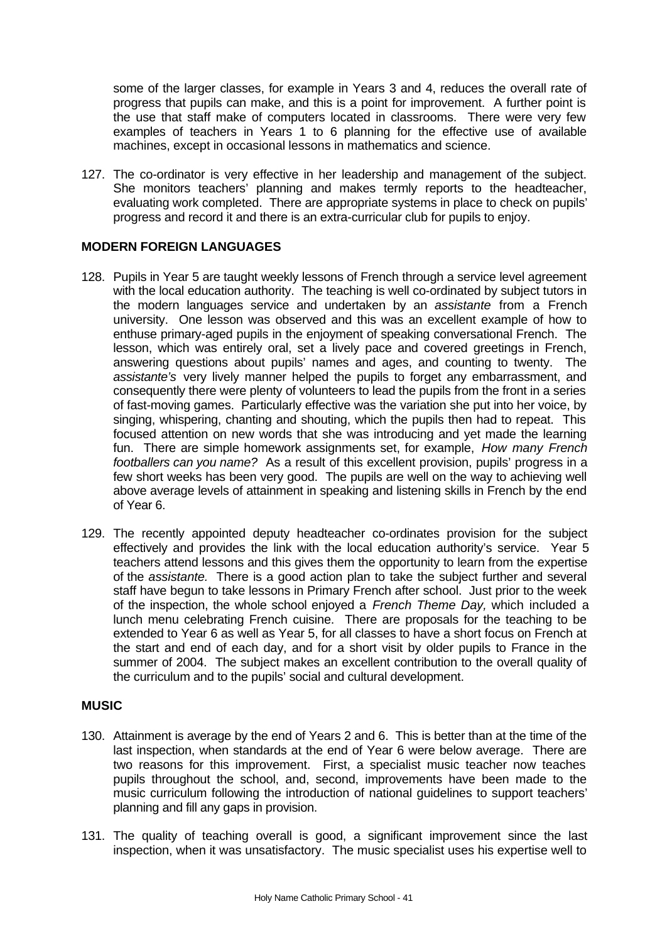some of the larger classes, for example in Years 3 and 4, reduces the overall rate of progress that pupils can make, and this is a point for improvement. A further point is the use that staff make of computers located in classrooms. There were very few examples of teachers in Years 1 to 6 planning for the effective use of available machines, except in occasional lessons in mathematics and science.

127. The co-ordinator is very effective in her leadership and management of the subject. She monitors teachers' planning and makes termly reports to the headteacher, evaluating work completed. There are appropriate systems in place to check on pupils' progress and record it and there is an extra-curricular club for pupils to enjoy.

# **MODERN FOREIGN LANGUAGES**

- 128. Pupils in Year 5 are taught weekly lessons of French through a service level agreement with the local education authority. The teaching is well co-ordinated by subject tutors in the modern languages service and undertaken by an *assistante* from a French university. One lesson was observed and this was an excellent example of how to enthuse primary-aged pupils in the enjoyment of speaking conversational French. The lesson, which was entirely oral, set a lively pace and covered greetings in French, answering questions about pupils' names and ages, and counting to twenty. The *assistante's* very lively manner helped the pupils to forget any embarrassment, and consequently there were plenty of volunteers to lead the pupils from the front in a series of fast-moving games. Particularly effective was the variation she put into her voice, by singing, whispering, chanting and shouting, which the pupils then had to repeat. This focused attention on new words that she was introducing and yet made the learning fun. There are simple homework assignments set, for example, *How many French footballers can you name?* As a result of this excellent provision, pupils' progress in a few short weeks has been very good. The pupils are well on the way to achieving well above average levels of attainment in speaking and listening skills in French by the end of Year 6.
- 129. The recently appointed deputy headteacher co-ordinates provision for the subject effectively and provides the link with the local education authority's service. Year 5 teachers attend lessons and this gives them the opportunity to learn from the expertise of the *assistante.* There is a good action plan to take the subject further and several staff have begun to take lessons in Primary French after school. Just prior to the week of the inspection, the whole school enjoyed a *French Theme Day,* which included a lunch menu celebrating French cuisine. There are proposals for the teaching to be extended to Year 6 as well as Year 5, for all classes to have a short focus on French at the start and end of each day, and for a short visit by older pupils to France in the summer of 2004. The subject makes an excellent contribution to the overall quality of the curriculum and to the pupils' social and cultural development.

# **MUSIC**

- 130. Attainment is average by the end of Years 2 and 6. This is better than at the time of the last inspection, when standards at the end of Year 6 were below average. There are two reasons for this improvement. First, a specialist music teacher now teaches pupils throughout the school, and, second, improvements have been made to the music curriculum following the introduction of national guidelines to support teachers' planning and fill any gaps in provision.
- 131. The quality of teaching overall is good, a significant improvement since the last inspection, when it was unsatisfactory. The music specialist uses his expertise well to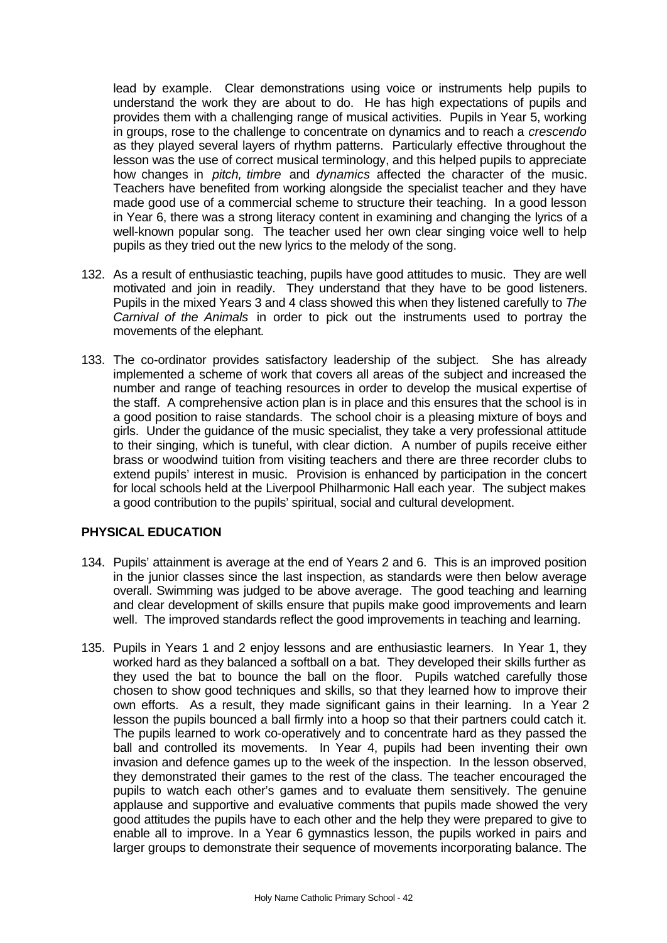lead by example. Clear demonstrations using voice or instruments help pupils to understand the work they are about to do. He has high expectations of pupils and provides them with a challenging range of musical activities. Pupils in Year 5, working in groups, rose to the challenge to concentrate on dynamics and to reach a *crescendo* as they played several layers of rhythm patterns. Particularly effective throughout the lesson was the use of correct musical terminology, and this helped pupils to appreciate how changes in *pitch, timbre* and *dynamics* affected the character of the music. Teachers have benefited from working alongside the specialist teacher and they have made good use of a commercial scheme to structure their teaching. In a good lesson in Year 6, there was a strong literacy content in examining and changing the lyrics of a well-known popular song. The teacher used her own clear singing voice well to help pupils as they tried out the new lyrics to the melody of the song.

- 132. As a result of enthusiastic teaching, pupils have good attitudes to music. They are well motivated and join in readily. They understand that they have to be good listeners. Pupils in the mixed Years 3 and 4 class showed this when they listened carefully to *The Carnival of the Animals* in order to pick out the instruments used to portray the movements of the elephant*.*
- 133. The co-ordinator provides satisfactory leadership of the subject. She has already implemented a scheme of work that covers all areas of the subject and increased the number and range of teaching resources in order to develop the musical expertise of the staff. A comprehensive action plan is in place and this ensures that the school is in a good position to raise standards. The school choir is a pleasing mixture of boys and girls. Under the guidance of the music specialist, they take a very professional attitude to their singing, which is tuneful, with clear diction. A number of pupils receive either brass or woodwind tuition from visiting teachers and there are three recorder clubs to extend pupils' interest in music. Provision is enhanced by participation in the concert for local schools held at the Liverpool Philharmonic Hall each year. The subject makes a good contribution to the pupils' spiritual, social and cultural development.

# **PHYSICAL EDUCATION**

- 134. Pupils' attainment is average at the end of Years 2 and 6. This is an improved position in the junior classes since the last inspection, as standards were then below average overall. Swimming was judged to be above average. The good teaching and learning and clear development of skills ensure that pupils make good improvements and learn well. The improved standards reflect the good improvements in teaching and learning.
- 135. Pupils in Years 1 and 2 enjoy lessons and are enthusiastic learners. In Year 1, they worked hard as they balanced a softball on a bat. They developed their skills further as they used the bat to bounce the ball on the floor. Pupils watched carefully those chosen to show good techniques and skills, so that they learned how to improve their own efforts. As a result, they made significant gains in their learning. In a Year 2 lesson the pupils bounced a ball firmly into a hoop so that their partners could catch it. The pupils learned to work co-operatively and to concentrate hard as they passed the ball and controlled its movements. In Year 4, pupils had been inventing their own invasion and defence games up to the week of the inspection. In the lesson observed, they demonstrated their games to the rest of the class. The teacher encouraged the pupils to watch each other's games and to evaluate them sensitively. The genuine applause and supportive and evaluative comments that pupils made showed the very good attitudes the pupils have to each other and the help they were prepared to give to enable all to improve. In a Year 6 gymnastics lesson, the pupils worked in pairs and larger groups to demonstrate their sequence of movements incorporating balance. The